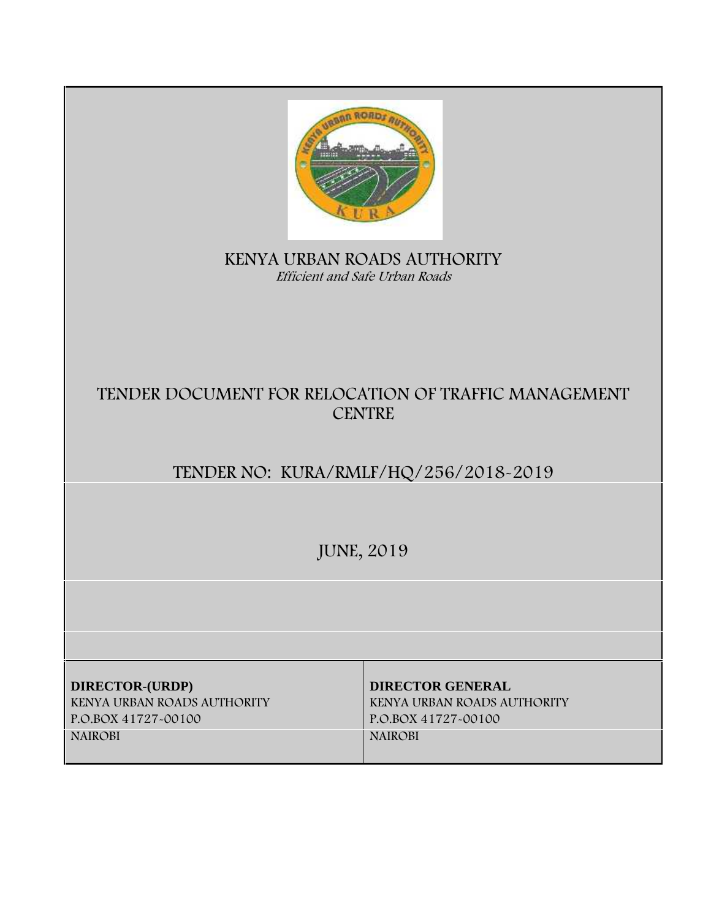| <b>ARRORDE</b><br>KENYA URBAN ROADS AUTHORITY<br>Efficient and Safe Urban Roads         |                                                                                                 |
|-----------------------------------------------------------------------------------------|-------------------------------------------------------------------------------------------------|
| TENDER DOCUMENT FOR RELOCATION OF TRAFFIC MANAGEMENT<br><b>CENTRE</b>                   |                                                                                                 |
| TENDER NO: KURA/RMLF/HQ/256/2018-2019                                                   |                                                                                                 |
| <b>JUNE, 2019</b>                                                                       |                                                                                                 |
|                                                                                         |                                                                                                 |
| DIRECTOR-(URDP)<br>KENYA URBAN ROADS AUTHORITY<br>P.O.BOX 41727-00100<br><b>NAIROBI</b> | <b>DIRECTOR GENERAL</b><br>KENYA URBAN ROADS AUTHORITY<br>P.O.BOX 41727-00100<br><b>NAIROBI</b> |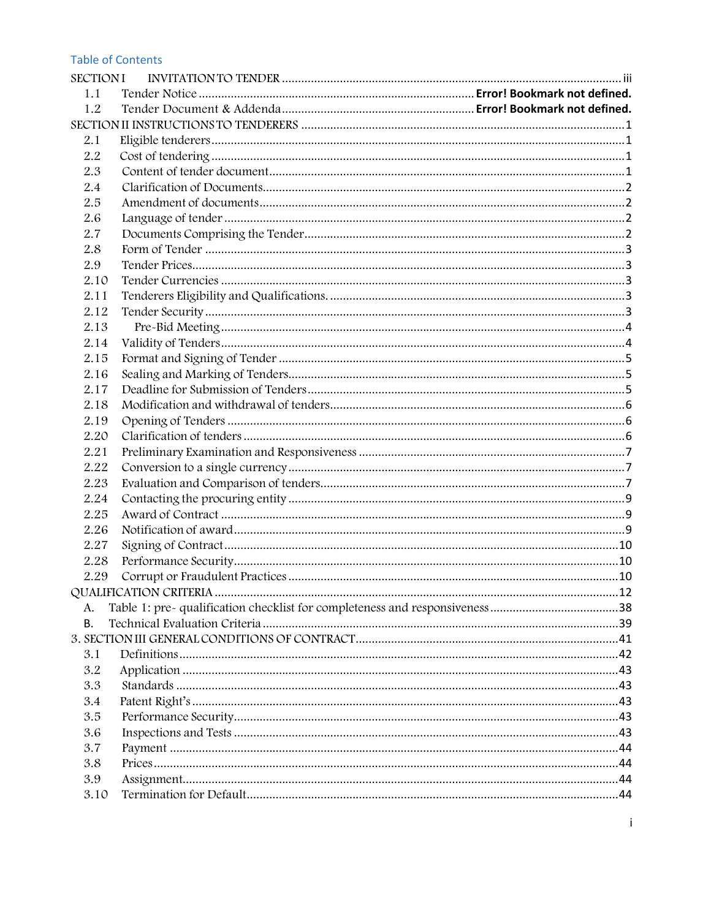#### **Table of Contents**

| <b>SECTIONI</b> |  |
|-----------------|--|
| 1.1             |  |
| 1.2             |  |
|                 |  |
| 2.1             |  |
| 2.2             |  |
| 2.3             |  |
| 2.4             |  |
| 2.5             |  |
| 2.6             |  |
| 2.7             |  |
| 2.8             |  |
| 2.9             |  |
| 2.10            |  |
| 2.11            |  |
| 2.12            |  |
| 2.13            |  |
| 2.14            |  |
| 2.15            |  |
| 2.16            |  |
| 2.17            |  |
| 2.18            |  |
| 2.19            |  |
| 2.20            |  |
| 2.21            |  |
| 2.22            |  |
| 2.23            |  |
| 2.24            |  |
| 2.25            |  |
| 2.26            |  |
| 2.27            |  |
| 2.28            |  |
| 2.29            |  |
|                 |  |
| А.              |  |
| В.              |  |
|                 |  |
| 3.1             |  |
| 3.2             |  |
| 3.3             |  |
| 3.4             |  |
| 3.5             |  |
| 3.6             |  |
| 3.7             |  |
| 3.8             |  |
| 3.9             |  |
| 3.10            |  |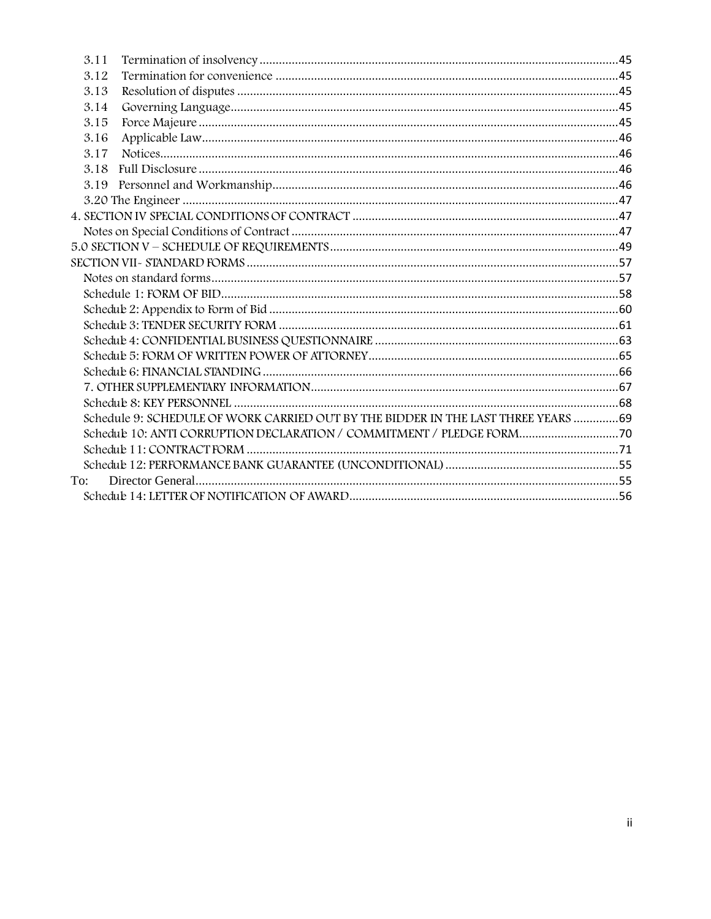| 3.11   |                                                                                    |  |
|--------|------------------------------------------------------------------------------------|--|
| 3.12   |                                                                                    |  |
| 3.13   |                                                                                    |  |
| 3.14   |                                                                                    |  |
| 3.15   |                                                                                    |  |
| 3.16   |                                                                                    |  |
| 3.17   |                                                                                    |  |
| 3.18   |                                                                                    |  |
| 3.19   |                                                                                    |  |
|        |                                                                                    |  |
|        |                                                                                    |  |
|        |                                                                                    |  |
|        |                                                                                    |  |
|        |                                                                                    |  |
|        |                                                                                    |  |
|        |                                                                                    |  |
|        |                                                                                    |  |
|        |                                                                                    |  |
|        |                                                                                    |  |
|        |                                                                                    |  |
|        |                                                                                    |  |
|        |                                                                                    |  |
|        |                                                                                    |  |
|        | Schedule 9: SCHEDULE OF WORK CARRIED OUT BY THE BIDDER IN THE LAST THREE YEARS  69 |  |
|        | Schedule 10: ANTI CORRUPTION DECLARATION / COMMITMENT / PLEDGE FORM 70             |  |
|        |                                                                                    |  |
|        |                                                                                    |  |
| $To^*$ |                                                                                    |  |
|        |                                                                                    |  |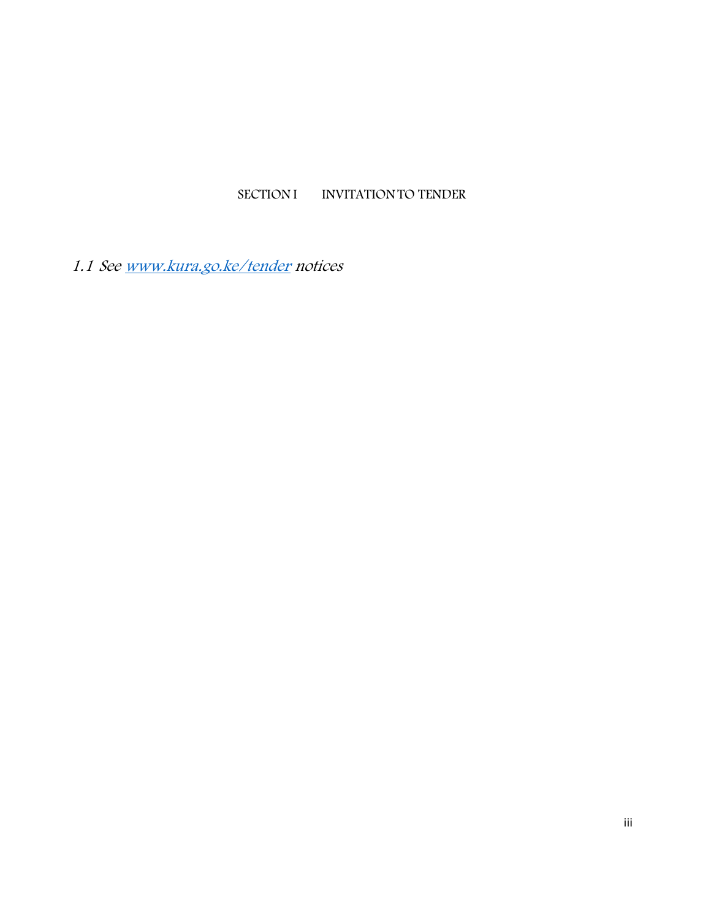### **SECTION I INVITATIONTO TENDER**

*1.1 See www.kura.go.ke/tender notices*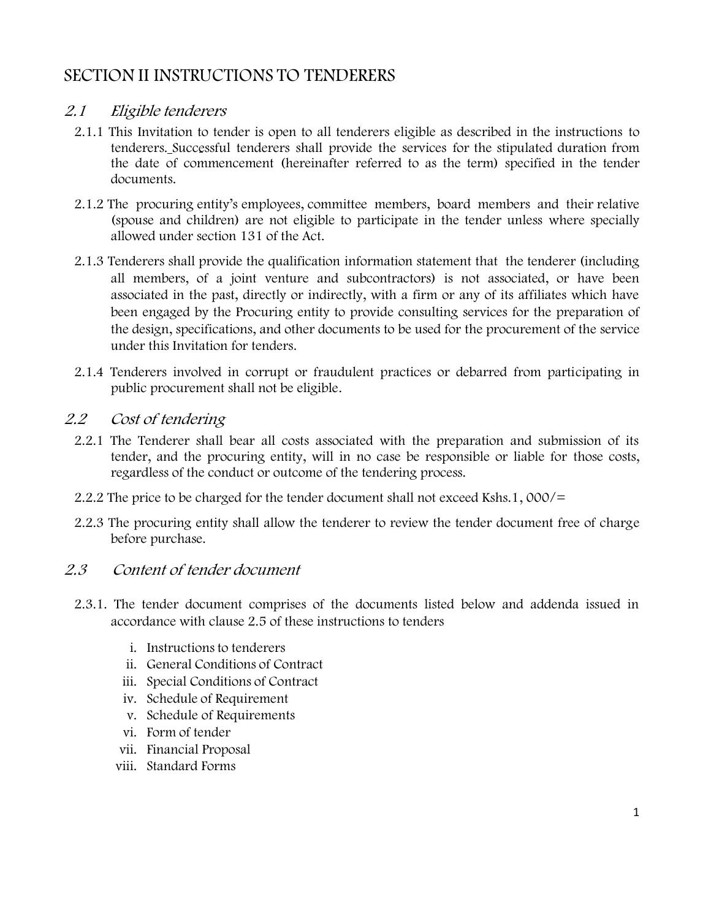# **SECTION II INSTRUCTIONS TO TENDERERS**

#### *2.1 Eligible tenderers*

- 2.1.1 This Invitation to tender is open to all tenderers eligible as described in the instructions to tenderers. Successful tenderers shall provide the services for the stipulated duration from the **date** of commencement (hereinafter referred to as the term) specified in the tender documents.
- 2.1.2 The procuring entity's employees, committee members, board members and their relative (spouse and children) are not eligible to participate in the tender unless where specially allowed under section 131 of the Act.
- 2.1.3 Tenderers shall provide the qualification information statement that the tenderer (including all members, of a joint venture and subcontractors) is not associated, or have been associated in the past, directly or indirectly, with a firm or any of its affiliates which have been engaged by the Procuring entity to provide consulting services for the preparation of the design, specifications, and other documents to be used for the procurement of the service under this Invitation for tenders.
- 2.1.4 Tenderers involved in corrupt or fraudulent practices or debarred from participating in public procurement shall not be eligible.

#### *2.2 Cost of tendering*

- 2.2.1 The Tenderer shall bear all costs associated with the preparation and submission of its tender, and the procuring entity, will in no case be responsible or liable for those costs, regardless of the conduct or outcome of the tendering process.
- 2.2.2 The price to be charged for the tender document shall not exceed Kshs.1, 000/=
- 2.2.3 The procuring entity shall allow the tenderer to review the tender document free of charge before purchase.

### *2.3 Content of tender document*

- 2.3.1. The tender document comprises of the documents listed below and addenda issued in accordance with clause 2.5 of these instructions to tenders
	- i. Instructions to tenderers
	- ii. General Conditions of Contract
	- iii. Special Conditions of Contract
	- iv. Schedule of Requirement
	- v. Schedule of Requirements
	- vi. Form of tender
	- vii. Financial Proposal
	- viii. Standard Forms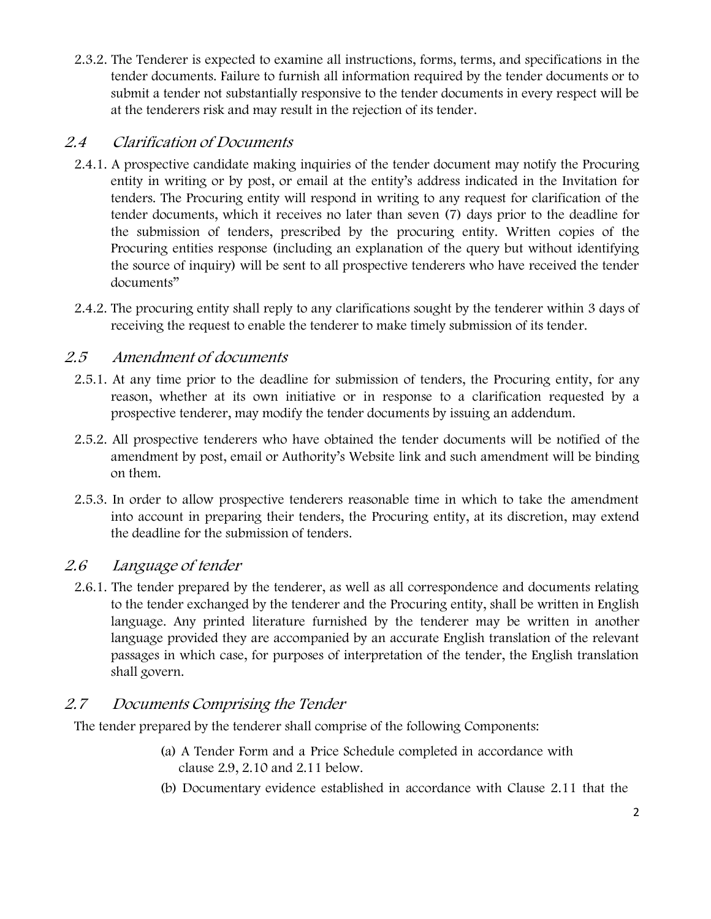2.3.2. The Tenderer is expected to examine all instructions, forms, terms, and specifications in the tender documents. Failure to furnish all information required by the tender documents or to submit a tender not substantially responsive to the tender documents in every respect will be at the tenderers risk and may result in the rejection of its tender.

### *2.4 Clarification of Documents*

- 2.4.1. A prospective candidate making inquiries of the tender document may notify the Procuring entity in writing or by post, or email at the entity's address indicated in the Invitation for tenders. The Procuring entity will respond in writing to any request for clarification of the tender documents, which it receives no later than seven (7) days prior to the deadline for the submission of tenders, prescribed by the procuring entity. Written copies of the Procuring entities response (including an explanation of the query but without identifying the source of inquiry) will be sent to all prospective tenderers who have received the tender documents"
- 2.4.2. The procuring entity shall reply to any clarifications sought by the tenderer within 3 days of receiving the request to enable the tenderer to make timely submission of its tender.

### *2.5 Amendment of documents*

- 2.5.1. At any time prior to the deadline for submission of tenders, the Procuring entity, for any reason, whether at its own initiative or in response to a clarification requested by a prospective tenderer, may modify the tender documents by issuing an addendum.
- 2.5.2. All prospective tenderers who have obtained the tender documents will be notified of the amendment by post, email or Authority's Website link and such amendment will be binding on them.
- 2.5.3. In order to allow prospective tenderers reasonable time in which to take the amendment into account in preparing their tenders, the Procuring entity, at its discretion, may extend the deadline for the submission of tenders.

### *2.6 Language of tender*

2.6.1. The tender prepared by the tenderer, as well as all correspondence and documents relating to the tender exchanged by the tenderer and the Procuring entity, shall be written in English language. Any printed literature furnished by the tenderer may be written in another language provided they are accompanied by an accurate English translation of the relevant passages in which case, for purposes of interpretation of the tender, the English translation shall govern.

### *2.7 Documents Comprising the Tender*

The tender prepared by the tenderer shall comprise of the following Components:

- (a) A Tender Form and a Price Schedule completed in accordance with clause 2.9, 2.10 and 2.11 below.
- (b) Documentary evidence established in accordance with Clause 2.11 that the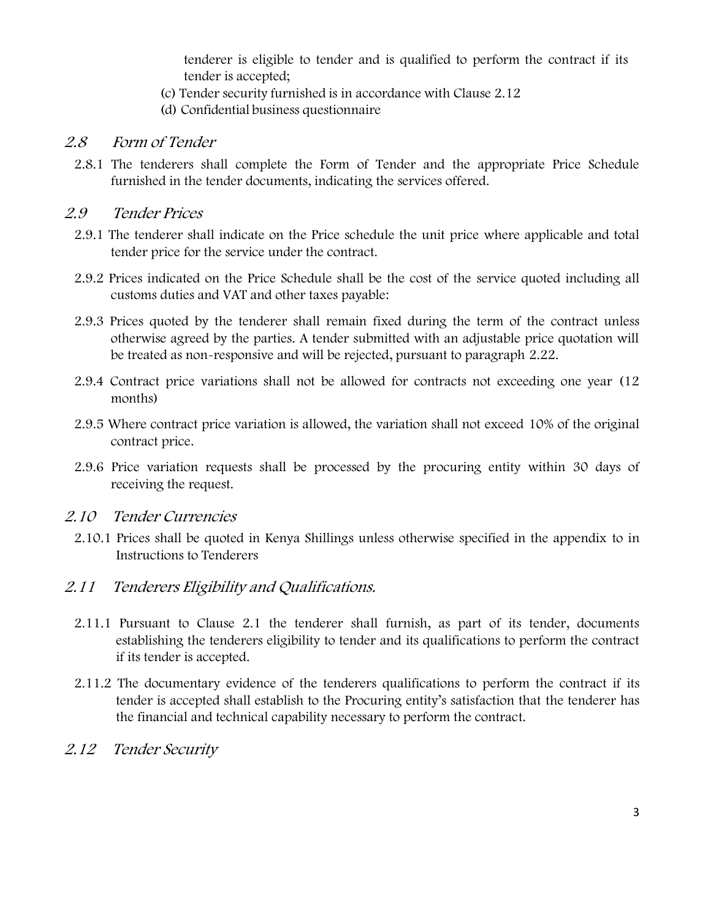tenderer is eligible to tender and is qualified to perform the contract if its tender is accepted;

- (c) Tender security furnished is in accordance with Clause 2.12
- (d) Confidential business questionnaire

#### *2.8 Form of Tender*

2.8.1 The tenderers shall complete the Form of Tender and the appropriate Price Schedule furnished in the tender documents, indicating the services offered.

#### *2.9 Tender Prices*

- 2.9.1 The tenderer shall indicate on the Price schedule the unit price where applicable and total tender price for the service under the contract.
- 2.9.2 Prices indicated on the Price Schedule shall be the cost of the service quoted including all customs duties and VAT and other taxes payable:
- 2.9.3 Prices quoted by the tenderer shall remain fixed during the term of the contract unless otherwise agreed by the parties. A tender submitted with an adjustable price quotation will be treated as non-responsive and will be rejected, pursuant to paragraph 2.22.
- 2.9.4 Contract price variations shall not be allowed for contracts not exceeding one year (12 months)
- 2.9.5 Where contract price variation is allowed, the variation shall not exceed 10% of the original contract price.
- 2.9.6 Price variation requests shall be processed by the procuring entity within 30 days of receiving the request.

#### *2.10 Tender Currencies*

2.10.1 Prices shall be quoted in Kenya Shillings unless otherwise specified in the appendix to in Instructions to Tenderers

#### *2.11 Tenderers Eligibility and Qualifications.*

- 2.11.1 Pursuant to Clause 2.1 the tenderer shall furnish, as part of its tender, documents establishing the tenderers eligibility to tender and its qualifications to perform the contract if its tender is accepted.
- 2.11.2 The documentary evidence of the tenderers qualifications to perform the contract if its tender is accepted shall establish to the Procuring entity's satisfaction that the tenderer has the financial and technical capability necessary to perform the contract.
- *2.12 Tender Security*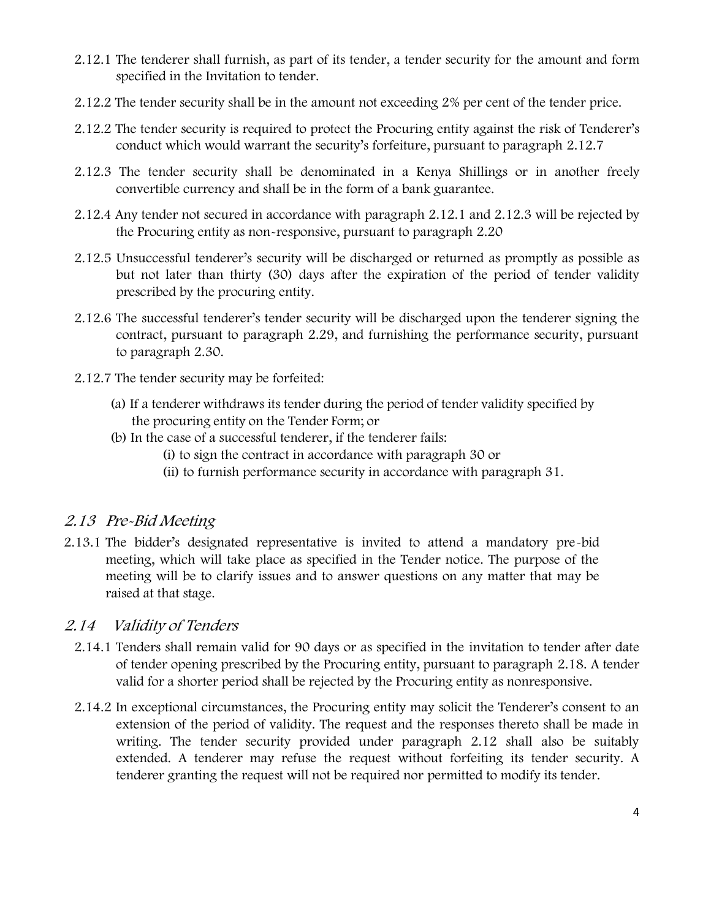- 2.12.1 The tenderer shall furnish, as part of its tender, a tender security for the amount and form specified in the Invitation to tender.
- 2.12.2 The tender security shall be in the amount not exceeding 2% per cent of the tender price.
- 2.12.2 The tender security is required to protect the Procuring entity against the risk of Tenderer's conduct which would warrant the security's forfeiture, pursuant to paragraph 2.12.7
- 2.12.3 The tender security shall be denominated in a Kenya Shillings or in another freely convertible currency and shall be in the form of a bank guarantee.
- 2.12.4 Any tender not secured in accordance with paragraph 2.12.1 and 2.12.3 will be rejected by the Procuring entity as non-responsive, pursuant to paragraph 2.20
- 2.12.5 Unsuccessful tenderer's security will be discharged or returned as promptly as possible as but not later than thirty (30) days after the expiration of the period of tender validity prescribed by the procuring entity.
- 2.12.6 The successful tenderer's tender security will be discharged upon the tenderer signing the contract, pursuant to paragraph 2.29, and furnishing the performance security, pursuant to paragraph 2.30.
- 2.12.7 The tender security may be forfeited:
	- (a) If a tenderer **withdraws** its tender **during** the period of tender validity specified by the procuring entity on the Tender Form; or
	- (b) In the case of a successful tenderer, if the tenderer fails:
		- (i) to sign the contract in accordance with paragraph 30 or
		- (ii) to furnish performance security in accordance with paragraph 31.

#### *2.13 Pre-Bid Meeting*

2.13.1 The bidder's designated representative is invited to attend a mandatory pre-bid meeting, which will take place as specified in the Tender notice. The purpose of the meeting will be to clarify issues and to answer questions on any matter that may be raised at that stage.

#### *2.14 Validity of Tenders*

- 2.14.1 Tenders shall remain valid for 90 days or as specified in the invitation to tender after date of tender opening prescribed by the Procuring entity, pursuant to paragraph 2.18. A tender valid for a shorter period shall be rejected by the Procuring entity as nonresponsive.
- 2.14.2 In exceptional circumstances, the Procuring entity may solicit the Tenderer's consent to an extension of the period of validity. The request and the responses thereto shall be made in writing. The tender security provided under paragraph 2.12 shall also be suitably extended. A tenderer may refuse the request without forfeiting its tender security. A tenderer granting the request will not be required nor permitted to modify its tender.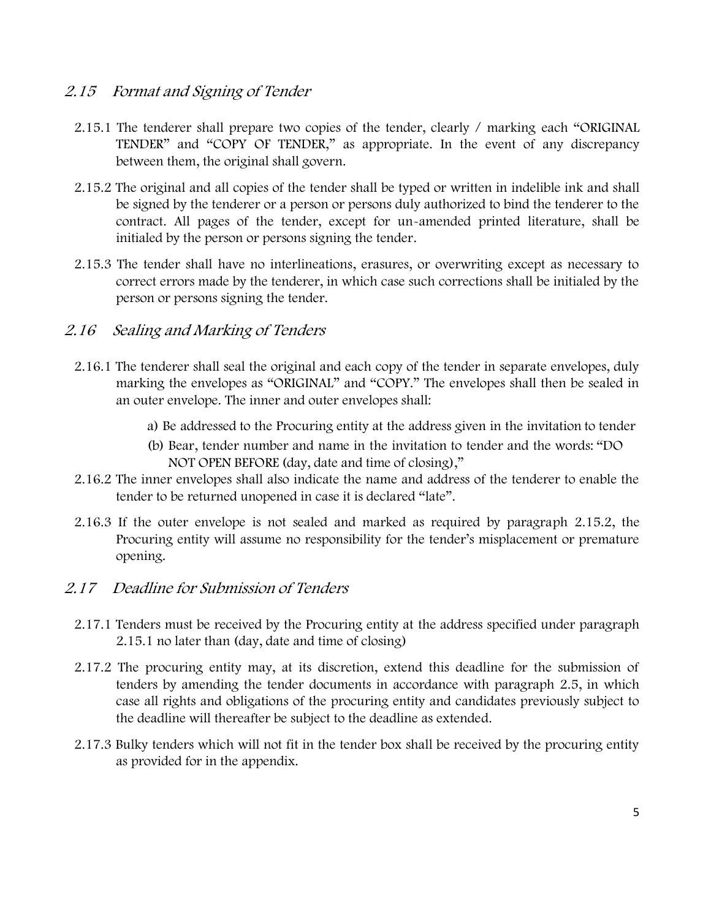#### *2.15 Format and Signing of Tender*

- 2.15.1 The tenderer shall prepare two copies of the tender, clearly / marking each "ORIGINAL TENDER" and "COPY OF TENDER," as appropriate. In the event of any discrepancy between them, the original shall govern.
- 2.15.2 The original and all copies of the tender shall be typed or written in indelible ink and shall be signed by the tenderer or a person or persons duly authorized to bind the tenderer to the contract. All pages of the tender, except for un-amended printed literature, shall be initialed by the person or persons signing the tender.
- 2.15.3 The tender shall have no interlineations, erasures, or overwriting except as necessary to correct errors made by the tenderer, in which case such corrections shall be initialed by the person or persons signing the tender.

#### *2.16 Sealing and Marking of Tenders*

- 2.16.1 The tenderer shall seal the original and each copy of the tender in separate envelopes, duly marking the envelopes as "ORIGINAL" and "COPY." The envelopes shall then be sealed in an outer envelope. The inner and outer envelopes shall:
	- a) Be addressed to the Procuring entity at the address given in the invitation to tender
	- (b) Bear, tender number and name in the invitation to tender and the words: "DO NOT OPEN BEFORE (day, date and time of closing),"
- 2.16.2 The inner envelopes shall also indicate the name and address of the tenderer to enable the tender to be returned unopened in case it is declared "late".
- 2.16.3 If the outer envelope is not sealed and marked as required by paragraph 2.15.2, the Procuring entity will assume no responsibility for the tender's misplacement or premature opening.

#### *2.17 Deadline for Submission of Tenders*

- 2.17.1 Tenders must be received by the Procuring entity at the address specified under paragraph 2.15.1 no later than (day, date and time of closing)
- 2.17.2 The procuring entity may, at its discretion, extend this deadline for the submission of tenders by amending the tender documents in accordance with paragraph 2.5, in which case all rights and obligations of the procuring entity and candidates previously subject to the deadline will thereafter be subject to the deadline as extended.
- 2.17.3 Bulky tenders which will not fit in the tender box shall be received by the procuring entity as provided for in the appendix.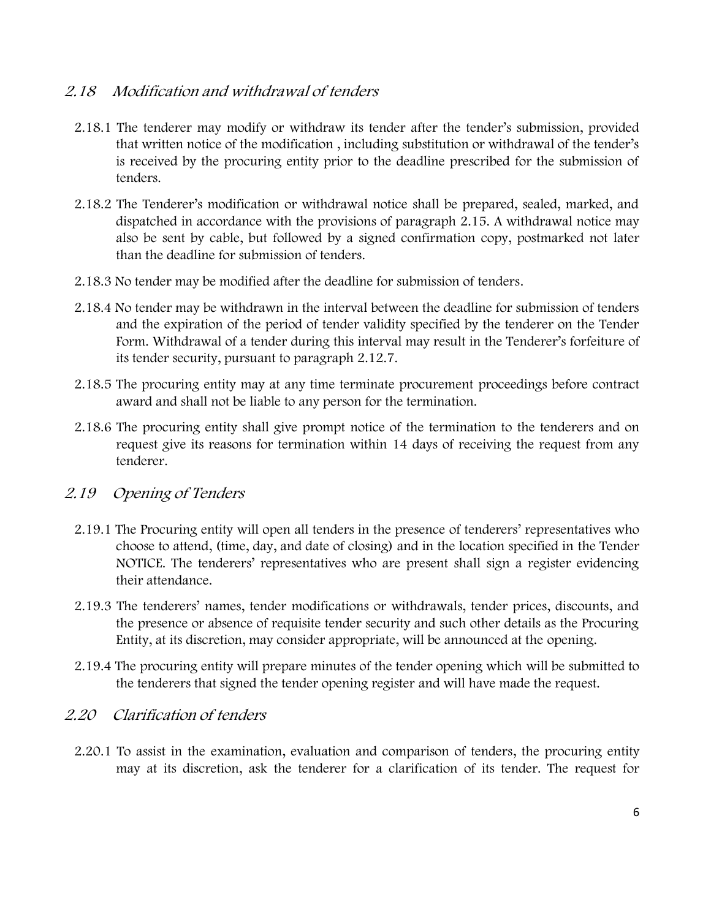#### *2.18 Modification and withdrawal of tenders*

- 2.18.1 The tenderer may modify or withdraw its tender after the tender's submission, provided that written notice of the modification , including substitution or withdrawal of the tender's is received by the procuring entity prior to the deadline prescribed for the submission of tenders.
- 2.18.2 The Tenderer's modification or withdrawal notice shall be prepared, sealed, marked, and dispatched in accordance with the provisions of paragraph 2.15. A withdrawal notice may also be sent by cable, but followed by a signed confirmation copy, postmarked not later than the deadline for submission of tenders.
- 2.18.3 No tender may be modified after the deadline for submission of tenders.
- 2.18.4 No tender may be withdrawn in the interval between the deadline for submission of tenders and the expiration of the period of tender validity specified by the tenderer on the Tender Form. Withdrawal of a tender during this interval may result in the Tenderer's forfeiture of its tender security, pursuant to paragraph 2.12.7.
- 2.18.5 The procuring entity may at any time terminate procurement proceedings before contract award and shall not be liable to any person for the termination.
- 2.18.6 The procuring entity shall give prompt notice of the termination to the tenderers and on request give its reasons for termination within 14 days of receiving the request from any tenderer.

#### *2.19 Opening of Tenders*

- 2.19.1 The Procuring entity will open all tenders in the presence of tenderers' representatives who choose to attend, (time, day, and date of closing) and in the location specified in the Tender NOTICE. The tenderers' representatives who are present shall sign a register evidencing their attendance.
- 2.19.3 The tenderers' names, tender modifications or withdrawals, tender prices, discounts, and the presence or absence of requisite tender security and such other details as the Procuring Entity, at its discretion, may consider appropriate, will be announced at the opening.
- 2.19.4 The procuring entity will prepare minutes of the tender opening which will be submitted to the tenderers that signed the tender opening register and will have made the request.

### *2.20 Clarification of tenders*

2.20.1 To assist in the examination, evaluation and comparison of tenders, the procuring entity may at its discretion, ask the tenderer for a clarification of its tender. The request for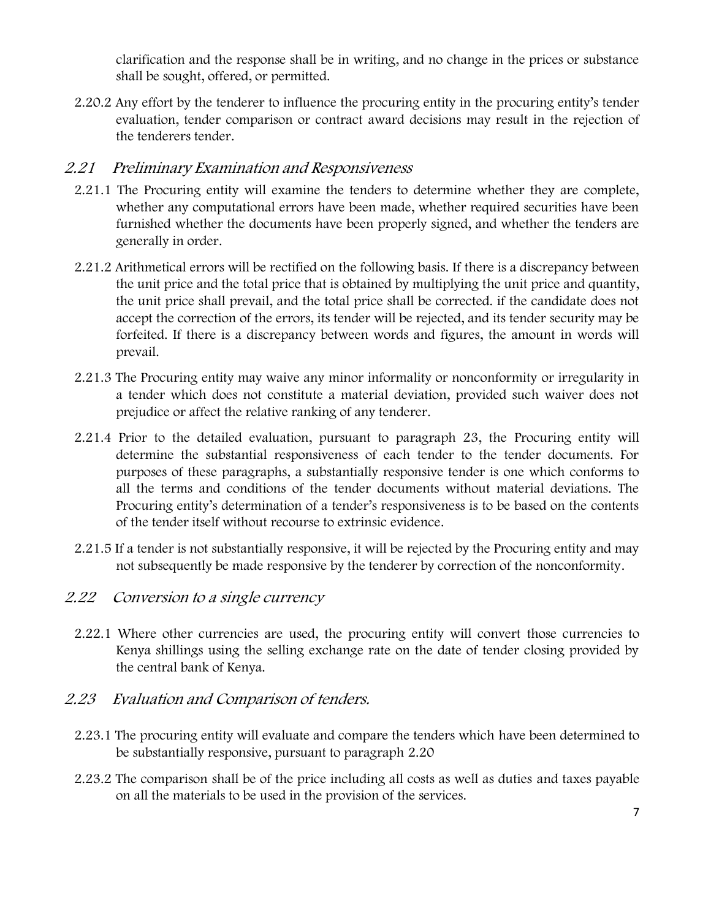clarification and the response shall be in writing, and no change in the prices or substance shall be sought, offered, or permitted.

2.20.2 Any effort by the tenderer to influence the procuring entity in the procuring entity's tender evaluation, tender comparison or contract award decisions may result in the rejection of the tenderers tender.

#### *2.21 Preliminary Examination and Responsiveness*

- 2.21.1 The Procuring entity will examine the tenders to determine whether they are complete, whether any computational errors have been made, whether required securities have been furnished whether the documents have been properly signed, and whether the tenders are generally in order.
- 2.21.2 Arithmetical errors will be rectified on the following basis. If there is a discrepancy between the unit price and the total price that is obtained by multiplying the unit price and quantity, the unit price shall prevail, and the total price shall be corrected. if the candidate does not accept the correction of the errors, its tender will be rejected, and its tender security may be forfeited. If there is a discrepancy between words and figures, the amount in words will prevail.
- 2.21.3 The Procuring entity may waive any minor informality or nonconformity or irregularity in a tender which does not constitute a material deviation, provided such waiver does not prejudice or affect the relative ranking of any tenderer.
- 2.21.4 Prior to the detailed evaluation, pursuant to paragraph 23, the Procuring entity will determine the substantial responsiveness of each tender to the tender documents. For purposes of these paragraphs, a substantially responsive tender is one which conforms to all the terms and conditions of the tender documents without material deviations. The Procuring entity's determination of a tender's responsiveness is to be based on the contents of the tender itself without recourse to extrinsic evidence.
- 2.21.5 If a tender is not substantially responsive, it will be rejected by the Procuring entity and may not subsequently be made responsive by the tenderer by correction of the nonconformity.

#### *2.22 Conversion to <sup>a</sup> single currency*

2.22.1 Where other currencies are used, the procuring entity will convert those currencies to Kenya shillings using the selling exchange rate on the date of tender closing provided by the central bank of Kenya.

#### *2.23 Evaluation and Comparison of tenders.*

- 2.23.1 The procuring entity will evaluate and compare the tenders which have been determined to be substantially responsive, pursuant to paragraph 2.20
- 2.23.2 The comparison shall be of the price including all costs as well as duties and taxes payable on all the materials to be used in the provision of the services.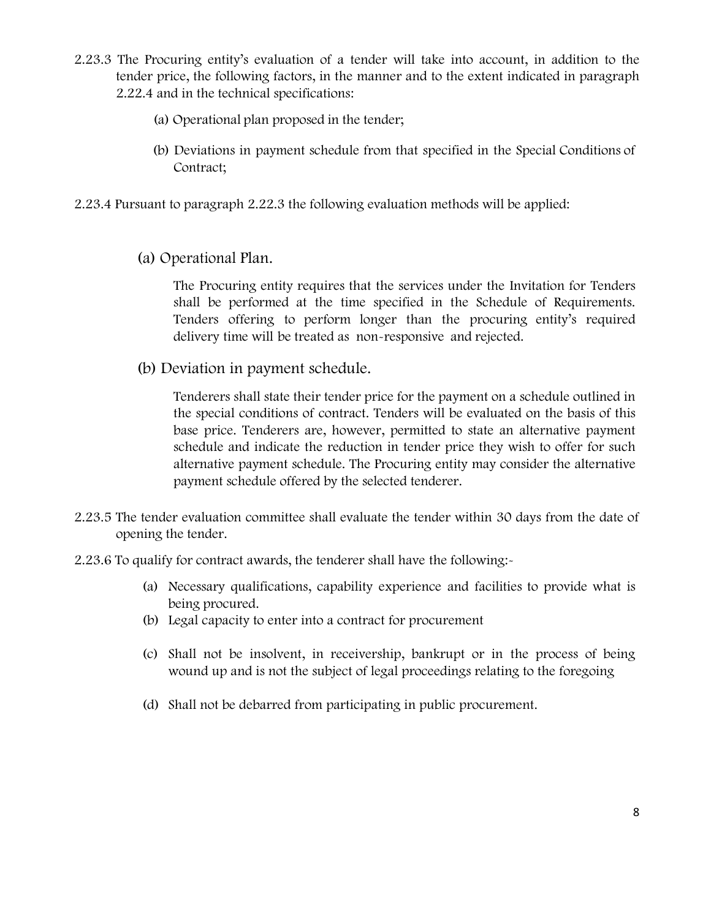- 2.23.3 The Procuring entity's evaluation of a tender will take into account, in addition to the tender price, the following factors, in the manner and to the extent indicated in paragraph 2.22.4 and in the technical specifications:
	- (a) Operational plan proposed in the tender;
	- (b) Deviations in payment schedule from that specified in the Special Conditions of Contract;
- 2.23.4 Pursuant to paragraph 2.22.3 the following evaluation methods will be applied:
	- **(a) Operational Plan.**

The Procuring entity requires that the services under the Invitation for Tenders shall be performed at the time specified in the Schedule of Requirements. Tenders offering to perform longer than the procuring entity's required delivery time will be treated as non-responsive and rejected.

**(b) Deviation in payment schedule.**

Tenderers shall state their tender price for the payment on a schedule outlined in the special conditions of contract. Tenders will be evaluated on the basis of this base price. Tenderers are, however, permitted to state an alternative payment schedule and indicate the reduction in tender price they wish to offer for such alternative payment schedule. The Procuring entity may consider the alternative payment schedule offered by the selected tenderer.

- 2.23.5 The tender evaluation committee shall evaluate the tender within 30 days from the date of opening the tender.
- 2.23.6 To qualify for contract awards, the tenderer shall have the following:-
	- (a) Necessary qualifications, capability experience and facilities to provide what is being procured.
	- (b) Legal capacity to enter into a contract for procurement
	- (c) Shall not be insolvent, in receivership, bankrupt or in the process of being wound up and is not the subject of legal proceedings relating to the foregoing
	- (d) Shall not be debarred from participating in public procurement.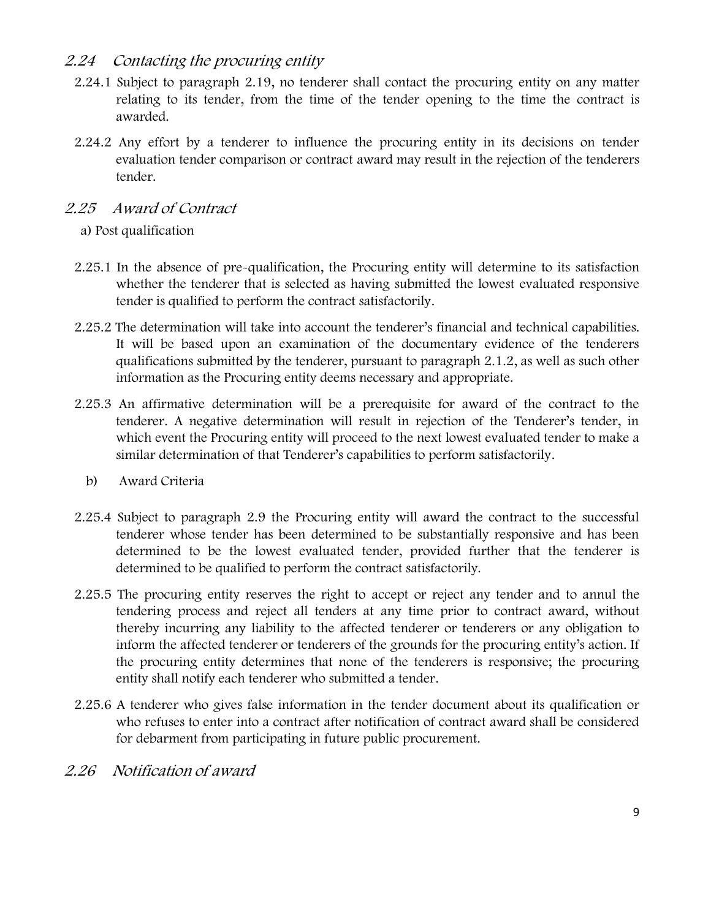#### *2.24 Contacting the procuring entity*

- 2.24.1 Subject to paragraph 2.19, no tenderer shall contact the procuring entity on any matter relating to its tender, from the time of the tender opening to the time the contract is awarded.
- 2.24.2 Any effort by a tenderer to influence the procuring entity in its decisions on tender evaluation tender comparison or contract award may result in the rejection of the tenderers tender.

#### *2.25 Award of Contract*

#### a) **Post qualification**

- 2.25.1 In the absence of pre-qualification, the Procuring entity will determine to its satisfaction whether the tenderer that is selected as having submitted the lowest evaluated responsive tender is qualified to perform the contract satisfactorily.
- 2.25.2 The determination will take into account the tenderer's financial and technical capabilities. It will be based upon an examination of the documentary evidence of the tenderers qualifications submitted by the tenderer, pursuant to paragraph 2.1.2, as well as such other information as the Procuring entity deems necessary and appropriate.
- 2.25.3 An affirmative determination will be a prerequisite for award of the contract to the tenderer. A negative determination will result in rejection of the Tenderer's tender, in which event the Procuring entity will proceed to the next lowest evaluated tender to make a similar determination of that Tenderer's capabilities to perform satisfactorily.
	- b) **Award Criteria**
- 2.25.4 Subject to paragraph 2.9 the Procuring entity will award the contract to the successful tenderer whose tender has been determined to be substantially responsive and has been determined to be the lowest evaluated tender, provided further that the tenderer is determined to be qualified to perform the contract satisfactorily.
- 2.25.5 The procuring entity reserves the right to accept or reject any tender and to annul the tendering process and reject all tenders at any time prior to contract award, without thereby incurring any liability to the affected tenderer or tenderers or any obligation to inform the affected tenderer or tenderers of the grounds for the procuring entity's action. If the procuring entity determines that none of the tenderers is responsive; the procuring entity shall notify each tenderer who submitted a tender.
- 2.25.6 A tenderer who gives false information in the tender document about its qualification or who refuses to enter into a contract after notification of contract award shall be considered for debarment from participating in future public procurement.
- *2.26 Notification of award*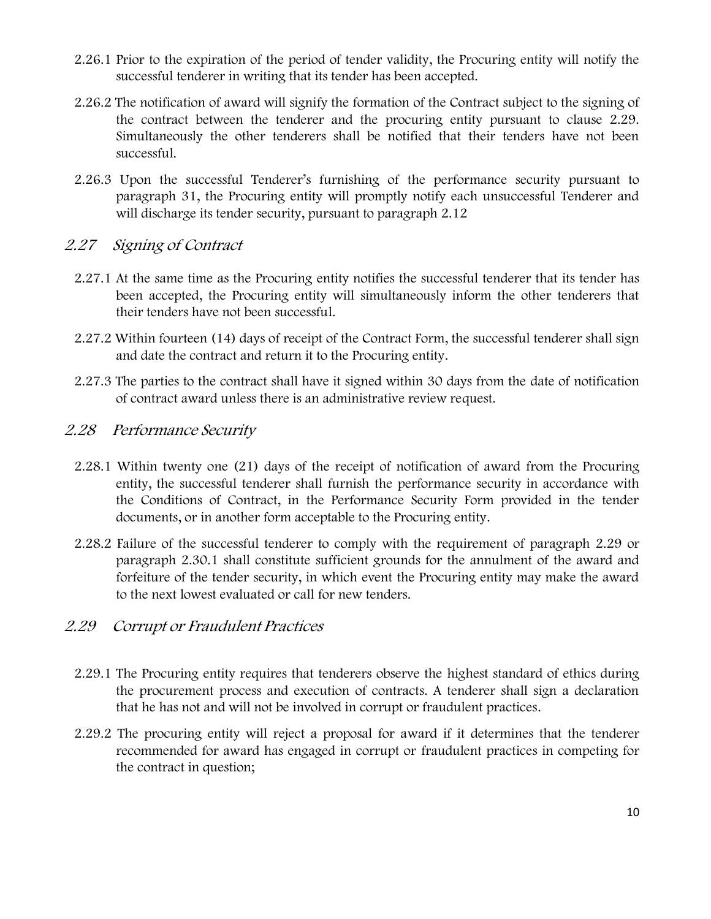- 2.26.1 Prior to the expiration of the period of tender validity, the Procuring entity will notify the successful tenderer in writing that its tender has been accepted.
- 2.26.2 The notification of award will signify the formation of the Contract subject to the signing of the contract between the tenderer and the procuring entity pursuant to clause 2.29. Simultaneously the other tenderers shall be notified that their tenders have not been successful.
- 2.26.3 Upon the successful Tenderer's furnishing of the performance security pursuant to paragraph 31, the Procuring entity will promptly notify each unsuccessful Tenderer and will discharge its tender security, pursuant to paragraph 2.12

#### *2.27 Signing of Contract*

- 2.27.1 At the same time as the Procuring entity notifies the successful tenderer that its tender has been accepted, the Procuring entity will simultaneously inform the other tenderers that their tenders have not been successful.
- 2.27.2 Within fourteen (14) days of receipt of the Contract Form, the successful tenderer shall sign and date the contract and return it to the Procuring entity.
- 2.27.3 The parties to the contract shall have it signed within 30 days from the date of notification of contract award unless there is an administrative review request.

#### *2.28 Performance Security*

- 2.28.1 Within twenty one (21) days of the receipt of notification of award from the Procuring entity, the successful tenderer shall furnish the performance security in accordance with the Conditions of Contract, in the Performance Security Form provided in the tender documents, or in another form acceptable to the Procuring entity.
- 2.28.2 Failure of the successful tenderer to comply with the requirement of paragraph 2.29 or paragraph 2.30.1 shall constitute sufficient grounds for the annulment of the award and forfeiture of the tender security, in which event the Procuring entity may make the award to the next lowest evaluated or call for new tenders.

#### *2.29 Corrupt or Fraudulent Practices*

- 2.29.1 The Procuring entity requires that tenderers observe the highest standard of ethics during the procurement process and execution of contracts. A tenderer shall sign a declaration that he has not and will not be involved in corrupt or fraudulent practices.
- 2.29.2 The procuring entity will reject a proposal for award if it determines that the tenderer recommended for award has engaged in corrupt or fraudulent practices in competing for the contract in question;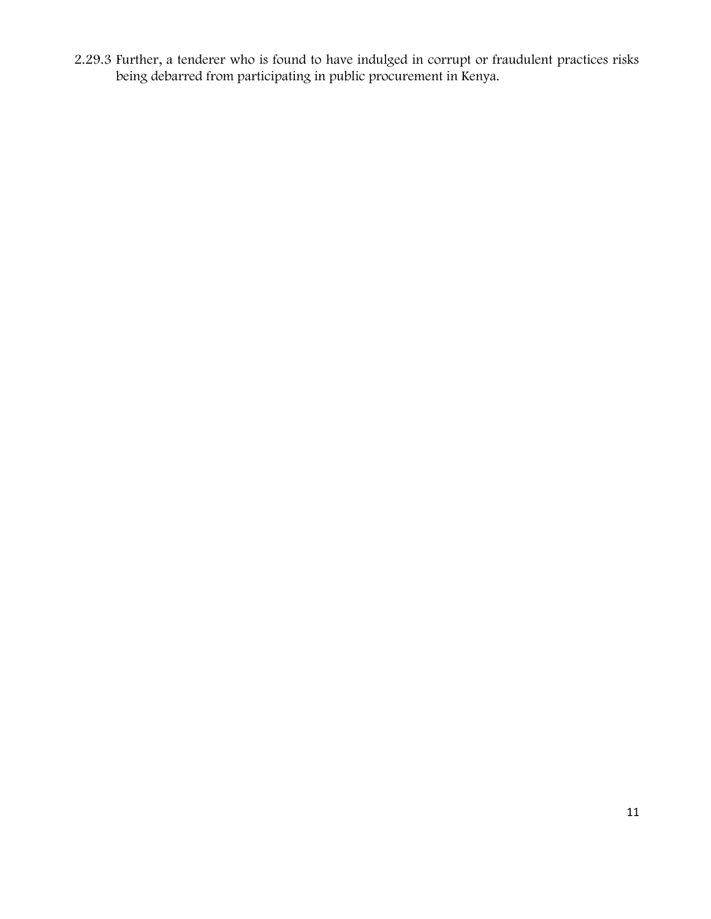2.29.3 Further, a tenderer who is found to have indulged in corrupt or fraudulent practices risks being debarred from participating in public procurement in Kenya.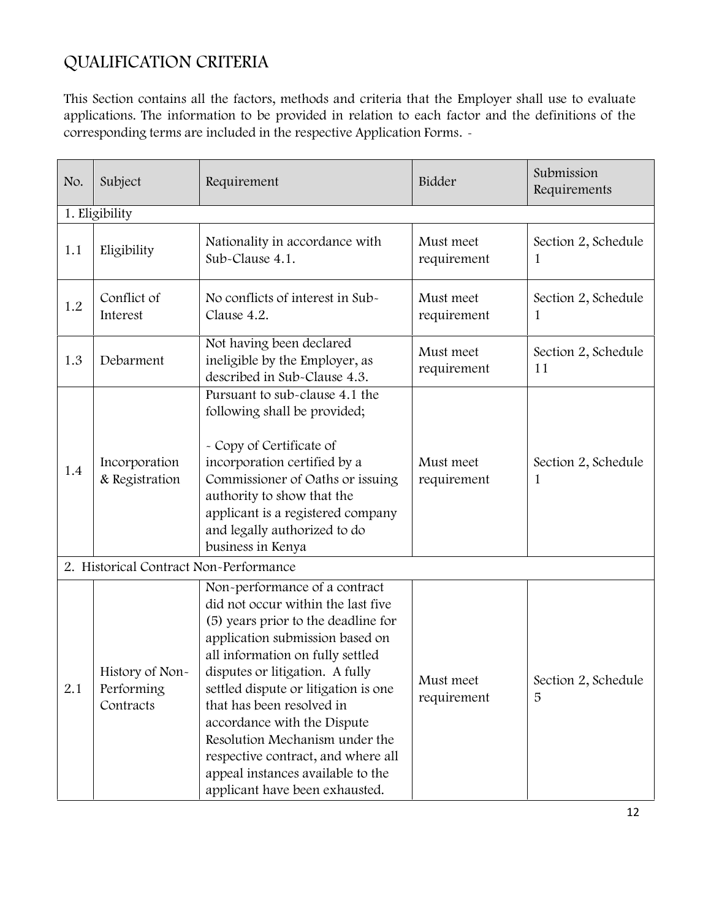# **QUALIFICATION CRITERIA**

This Section contains all the factors, methods and criteria that the Employer shall use to evaluate applications. The information to be provided in relation to each factor and the definitions of the corresponding terms are included in the respective Application Forms.

| No. | Subject                                    | Requirement                                                                                                                                                                                                                                                                                                                                                                                                                                                             | Bidder                   | Submission<br>Requirements |
|-----|--------------------------------------------|-------------------------------------------------------------------------------------------------------------------------------------------------------------------------------------------------------------------------------------------------------------------------------------------------------------------------------------------------------------------------------------------------------------------------------------------------------------------------|--------------------------|----------------------------|
|     | 1. Eligibility                             |                                                                                                                                                                                                                                                                                                                                                                                                                                                                         |                          |                            |
| 1.1 | Eligibility                                | Nationality in accordance with<br>Sub-Clause 4.1.                                                                                                                                                                                                                                                                                                                                                                                                                       | Must meet<br>requirement | Section 2, Schedule<br>1   |
| 1.2 | Conflict of<br>Interest                    | No conflicts of interest in Sub-<br>Must meet<br>Clause 4.2.<br>requirement<br>1                                                                                                                                                                                                                                                                                                                                                                                        |                          | Section 2, Schedule        |
| 1.3 | Debarment                                  | Not having been declared<br>ineligible by the Employer, as<br>described in Sub-Clause 4.3.                                                                                                                                                                                                                                                                                                                                                                              | Must meet<br>requirement | Section 2, Schedule<br>11  |
| 1.4 | Incorporation<br>& Registration            | Pursuant to sub-clause 4.1 the<br>following shall be provided;<br>- Copy of Certificate of<br>incorporation certified by a<br>Commissioner of Oaths or issuing<br>authority to show that the<br>applicant is a registered company<br>and legally authorized to do<br>business in Kenya                                                                                                                                                                                  | Must meet<br>requirement | Section 2, Schedule<br>1   |
|     | 2. Historical Contract Non-Performance     |                                                                                                                                                                                                                                                                                                                                                                                                                                                                         |                          |                            |
| 2.1 | History of Non-<br>Performing<br>Contracts | Non-performance of a contract<br>did not occur within the last five<br>(5) years prior to the deadline for<br>application submission based on<br>all information on fully settled<br>disputes or litigation. A fully<br>settled dispute or litigation is one<br>that has been resolved in<br>accordance with the Dispute<br>Resolution Mechanism under the<br>respective contract, and where all<br>appeal instances available to the<br>applicant have been exhausted. | Must meet<br>requirement | Section 2, Schedule<br>5   |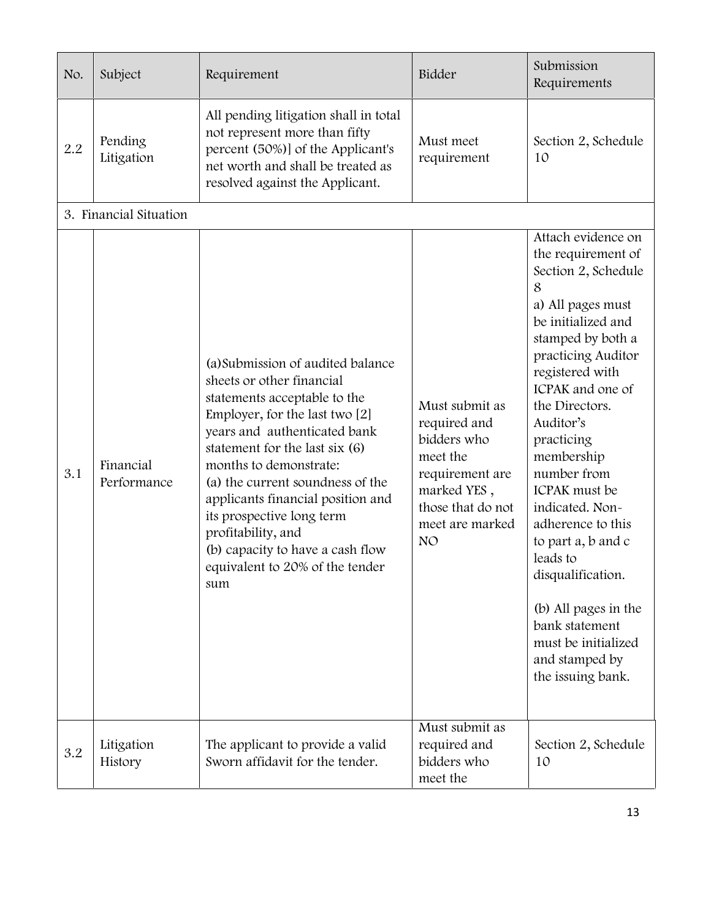| No. | Subject                  | Requirement                                                                                                                                                                                                                                                                                                                                                                                                                            | Bidder                                                                                                                                                 | Submission<br>Requirements                                                                                                                                                                                                                                                                                                                                                                                                                                                                          |
|-----|--------------------------|----------------------------------------------------------------------------------------------------------------------------------------------------------------------------------------------------------------------------------------------------------------------------------------------------------------------------------------------------------------------------------------------------------------------------------------|--------------------------------------------------------------------------------------------------------------------------------------------------------|-----------------------------------------------------------------------------------------------------------------------------------------------------------------------------------------------------------------------------------------------------------------------------------------------------------------------------------------------------------------------------------------------------------------------------------------------------------------------------------------------------|
| 2.2 | Pending<br>Litigation    | All pending litigation shall in total<br>not represent more than fifty<br>percent (50%)] of the Applicant's<br>net worth and shall be treated as<br>resolved against the Applicant.                                                                                                                                                                                                                                                    | Must meet<br>requirement                                                                                                                               | Section 2, Schedule<br>10                                                                                                                                                                                                                                                                                                                                                                                                                                                                           |
|     | 3. Financial Situation   |                                                                                                                                                                                                                                                                                                                                                                                                                                        |                                                                                                                                                        |                                                                                                                                                                                                                                                                                                                                                                                                                                                                                                     |
| 3.1 | Financial<br>Performance | (a) Submission of audited balance<br>sheets or other financial<br>statements acceptable to the<br>Employer, for the last two [2]<br>years and authenticated bank<br>statement for the last six (6)<br>months to demonstrate:<br>(a) the current soundness of the<br>applicants financial position and<br>its prospective long term<br>profitability, and<br>(b) capacity to have a cash flow<br>equivalent to 20% of the tender<br>sum | Must submit as<br>required and<br>bidders who<br>meet the<br>requirement are<br>marked YES,<br>those that do not<br>meet are marked<br>NO <sub>1</sub> | Attach evidence on<br>the requirement of<br>Section 2, Schedule<br>8<br>a) All pages must<br>be initialized and<br>stamped by both a<br>practicing Auditor<br>registered with<br>ICPAK and one of<br>the Directors.<br>Auditor's<br>practicing<br>membership<br>number from<br>ICPAK must be<br>indicated. Non-<br>adherence to this<br>to part a, b and c<br>leads to<br>disqualification.<br>(b) All pages in the<br>bank statement<br>must be initialized<br>and stamped by<br>the issuing bank. |
| 3.2 | Litigation<br>History    | The applicant to provide a valid<br>Sworn affidavit for the tender.                                                                                                                                                                                                                                                                                                                                                                    | Must submit as<br>required and<br>bidders who<br>meet the                                                                                              | Section 2, Schedule<br>10                                                                                                                                                                                                                                                                                                                                                                                                                                                                           |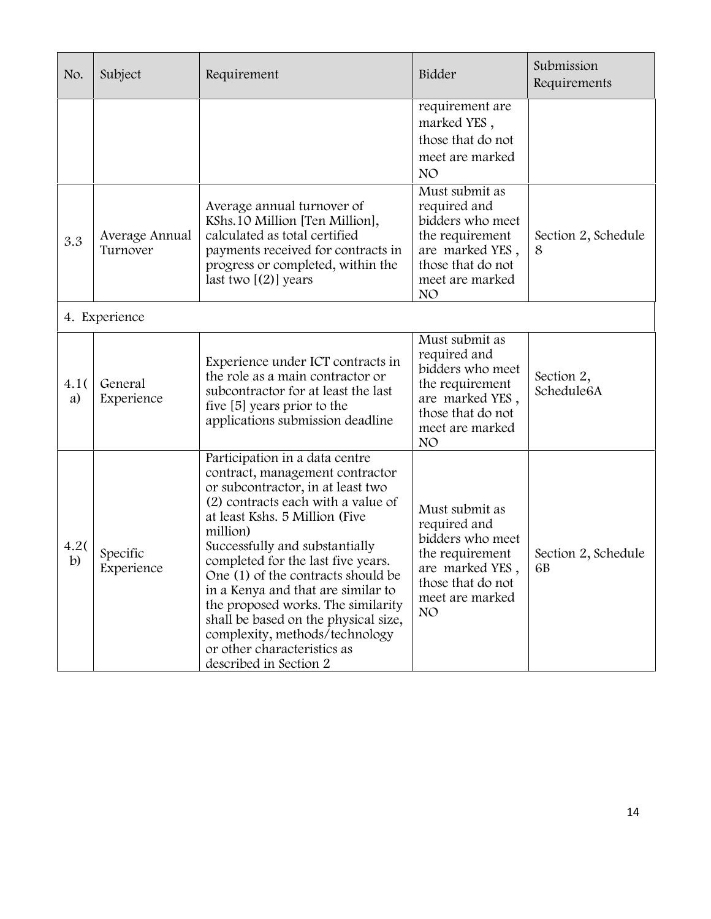| No.                  | Subject                    | Requirement                                                                                                                                                                                                                                                                                                                                                                                                                                                                                                             | Bidder                                                                                                                                              | Submission<br>Requirements |
|----------------------|----------------------------|-------------------------------------------------------------------------------------------------------------------------------------------------------------------------------------------------------------------------------------------------------------------------------------------------------------------------------------------------------------------------------------------------------------------------------------------------------------------------------------------------------------------------|-----------------------------------------------------------------------------------------------------------------------------------------------------|----------------------------|
|                      |                            |                                                                                                                                                                                                                                                                                                                                                                                                                                                                                                                         | requirement are<br>marked YES,<br>those that do not<br>meet are marked<br>NO <sub>1</sub>                                                           |                            |
| 3.3                  | Average Annual<br>Turnover | Average annual turnover of<br>KShs. 10 Million [Ten Million],<br>calculated as total certified<br>payments received for contracts in<br>progress or completed, within the<br>last two $[(2)]$ years                                                                                                                                                                                                                                                                                                                     | Must submit as<br>required and<br>bidders who meet<br>the requirement<br>are marked YES,<br>those that do not<br>meet are marked<br>NO <sub>1</sub> | Section 2, Schedule<br>8   |
|                      | 4. Experience              |                                                                                                                                                                                                                                                                                                                                                                                                                                                                                                                         |                                                                                                                                                     |                            |
| 4.1(<br>a)           | General<br>Experience      | Experience under ICT contracts in<br>the role as a main contractor or<br>subcontractor for at least the last<br>five [5] years prior to the<br>applications submission deadline                                                                                                                                                                                                                                                                                                                                         | Must submit as<br>required and<br>bidders who meet<br>the requirement<br>are marked YES,<br>those that do not<br>meet are marked<br>NO <sub>1</sub> | Section 2,<br>Schedule6A   |
| 4.2(<br>$\mathbf{b}$ | Specific<br>Experience     | Participation in a data centre<br>contract, management contractor<br>or subcontractor, in at least two<br>(2) contracts each with a value of<br>at least Kshs. 5 Million (Five<br>million)<br>Successfully and substantially<br>completed for the last five years.<br>One (1) of the contracts should be<br>in a Kenya and that are similar to<br>the proposed works. The similarity<br>shall be based on the physical size,<br>complexity, methods/technology<br>or other characteristics as<br>described in Section 2 | Must submit as<br>required and<br>bidders who meet<br>the requirement<br>are marked YES<br>those that do not<br>meet are marked<br>NO               | Section 2, Schedule<br>6B  |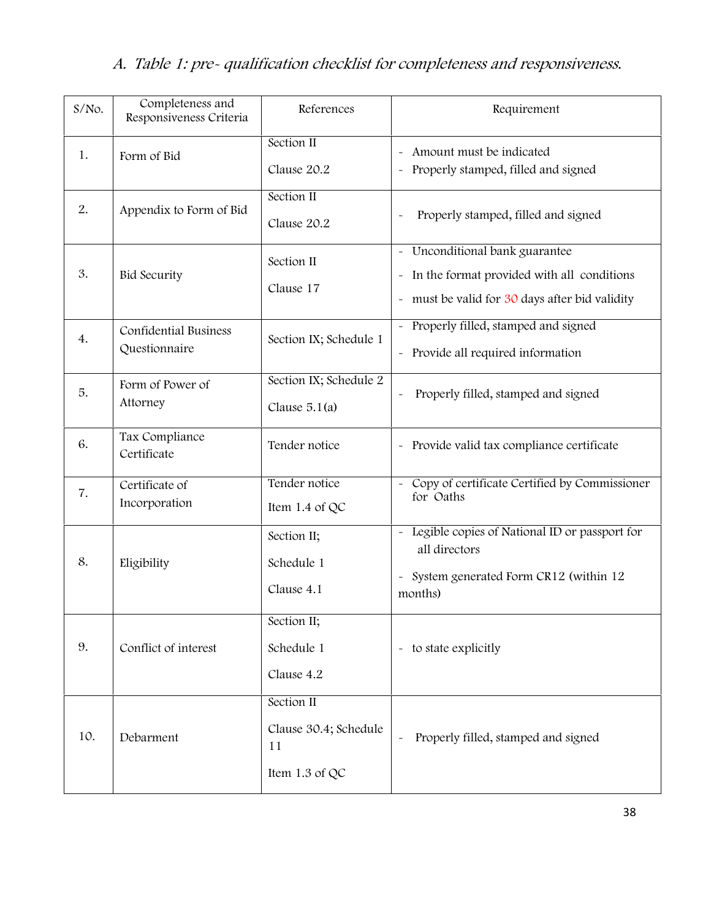# *A. Table 1: pre- qualification checklist for completeness and responsiveness***.**

| $S/NO$ . | Completeness and<br>Responsiveness Criteria   | References                                                  | Requirement                                                                                                                                                                               |
|----------|-----------------------------------------------|-------------------------------------------------------------|-------------------------------------------------------------------------------------------------------------------------------------------------------------------------------------------|
| 1.       | Form of Bid                                   | Section II<br>Clause 20.2                                   | Amount must be indicated<br>$\widetilde{\phantom{m}}$<br>Properly stamped, filled and signed                                                                                              |
| 2.       | Appendix to Form of Bid                       | Section II<br>Clause 20.2                                   | Properly stamped, filled and signed<br>$\tilde{\phantom{a}}$                                                                                                                              |
| 3.       | <b>Bid Security</b>                           | Section II<br>Clause 17                                     | Unconditional bank guarantee<br>$\tilde{\phantom{a}}$<br>In the format provided with all conditions<br>$\tilde{}$<br>must be valid for 30 days after bid validity<br>$\ddot{\phantom{1}}$ |
| 4.       | <b>Confidential Business</b><br>Questionnaire | Section IX; Schedule 1                                      | Properly filled, stamped and signed<br>- Provide all required information                                                                                                                 |
| 5.       | Form of Power of<br>Attorney                  | Section IX; Schedule 2<br>Clause $5.1(a)$                   | Properly filled, stamped and signed                                                                                                                                                       |
| 6.       | Tax Compliance<br>Certificate                 | Tender notice                                               | - Provide valid tax compliance certificate                                                                                                                                                |
| 7.       | Certificate of<br>Incorporation               | Tender notice<br>Item 1.4 of QC                             | Copy of certificate Certified by Commissioner<br>for Oaths                                                                                                                                |
| 8.       | Eligibility                                   | Section II;<br>Schedule 1<br>Clause 4.1                     | Legible copies of National ID or passport for<br>all directors<br>System generated Form CR12 (within 12<br>$\ddot{\phantom{1}}$<br>months)                                                |
| 9.       | Conflict of interest                          | Section II;<br>Schedule 1<br>Clause 4.2                     | - to state explicitly                                                                                                                                                                     |
| 10.      | Debarment                                     | Section II<br>Clause 30.4; Schedule<br>11<br>Item 1.3 of QC | Properly filled, stamped and signed<br>$\tilde{\phantom{a}}$                                                                                                                              |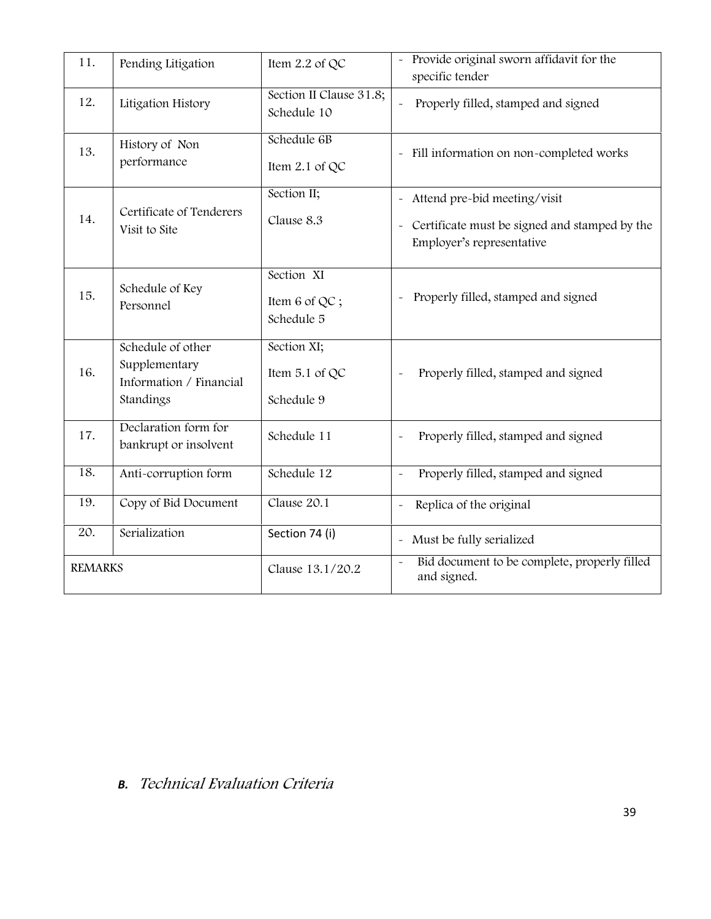| 11.            | Pending Litigation                                                         | Item 2.2 of QC                              | Provide original sworn affidavit for the<br>specific tender                                                                          |
|----------------|----------------------------------------------------------------------------|---------------------------------------------|--------------------------------------------------------------------------------------------------------------------------------------|
| 12.            | Litigation History                                                         | Section II Clause 31.8;<br>Schedule 10      | Properly filled, stamped and signed<br>$\tilde{\phantom{a}}$                                                                         |
| 13.            | History of Non<br>performance                                              | Schedule 6B<br>Item 2.1 of QC               | - Fill information on non-completed works                                                                                            |
| 14.            | Certificate of Tenderers<br>Visit to Site                                  | Section II;<br>Clause 8.3                   | Attend pre-bid meeting/visit<br>$\ddot{\phantom{0}}$<br>- Certificate must be signed and stamped by the<br>Employer's representative |
| 15.            | Schedule of Key<br>Personnel                                               | Section XI<br>Item 6 of QC;<br>Schedule 5   | Properly filled, stamped and signed<br>$\sim$                                                                                        |
| 16.            | Schedule of other<br>Supplementary<br>Information / Financial<br>Standings | Section XI;<br>Item 5.1 of QC<br>Schedule 9 | Properly filled, stamped and signed                                                                                                  |
| 17.            | Declaration form for<br>bankrupt or insolvent                              | Schedule 11                                 | Properly filled, stamped and signed                                                                                                  |
| 18.            | Anti-corruption form                                                       | Schedule 12                                 | Properly filled, stamped and signed<br>$\tilde{\phantom{a}}$                                                                         |
| 19.            | Copy of Bid Document                                                       | Clause 20.1                                 | Replica of the original<br>$\tilde{\phantom{a}}$                                                                                     |
| 20.            | Serialization                                                              | Section 74 (i)                              | Must be fully serialized<br>$\omega$                                                                                                 |
| <b>REMARKS</b> |                                                                            | Clause 13.1/20.2                            | Bid document to be complete, properly filled<br>and signed.                                                                          |

# *B. Technical Evaluation Criteria*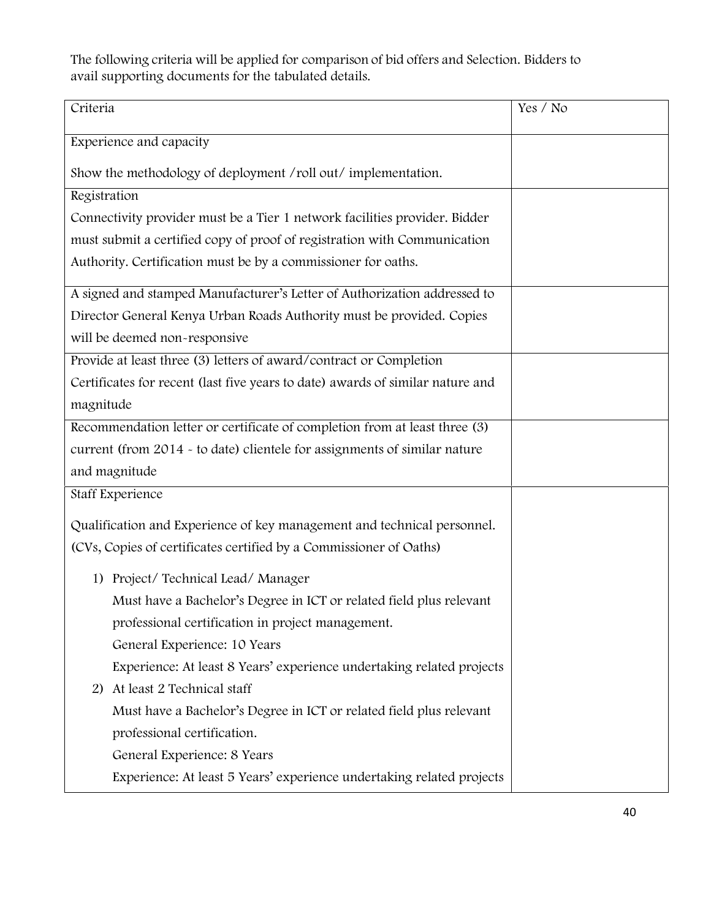The following criteria will be applied for comparison of bid offers and Selection. Bidders to avail supporting documents for the tabulated details.

| Criteria                                                                       | Yes / No |
|--------------------------------------------------------------------------------|----------|
| Experience and capacity                                                        |          |
| Show the methodology of deployment /roll out/ implementation.                  |          |
| Registration                                                                   |          |
| Connectivity provider must be a Tier 1 network facilities provider. Bidder     |          |
| must submit a certified copy of proof of registration with Communication       |          |
| Authority. Certification must be by a commissioner for oaths.                  |          |
| A signed and stamped Manufacturer's Letter of Authorization addressed to       |          |
| Director General Kenya Urban Roads Authority must be provided. Copies          |          |
| will be deemed non-responsive                                                  |          |
| Provide at least three (3) letters of award/contract or Completion             |          |
| Certificates for recent (last five years to date) awards of similar nature and |          |
| magnitude                                                                      |          |
| Recommendation letter or certificate of completion from at least three (3)     |          |
| current (from 2014 - to date) clientele for assignments of similar nature      |          |
| and magnitude                                                                  |          |
| Staff Experience                                                               |          |
| Qualification and Experience of key management and technical personnel.        |          |
| (CVs, Copies of certificates certified by a Commissioner of Oaths)             |          |
| 1) Project/Technical Lead/Manager                                              |          |
| Must have a Bachelor's Degree in ICT or related field plus relevant            |          |
| professional certification in project management.                              |          |
| General Experience: 10 Years                                                   |          |
| Experience: At least 8 Years' experience undertaking related projects          |          |
| At least 2 Technical staff<br>2)                                               |          |
| Must have a Bachelor's Degree in ICT or related field plus relevant            |          |
| professional certification.                                                    |          |
| General Experience: 8 Years                                                    |          |
| Experience: At least 5 Years' experience undertaking related projects          |          |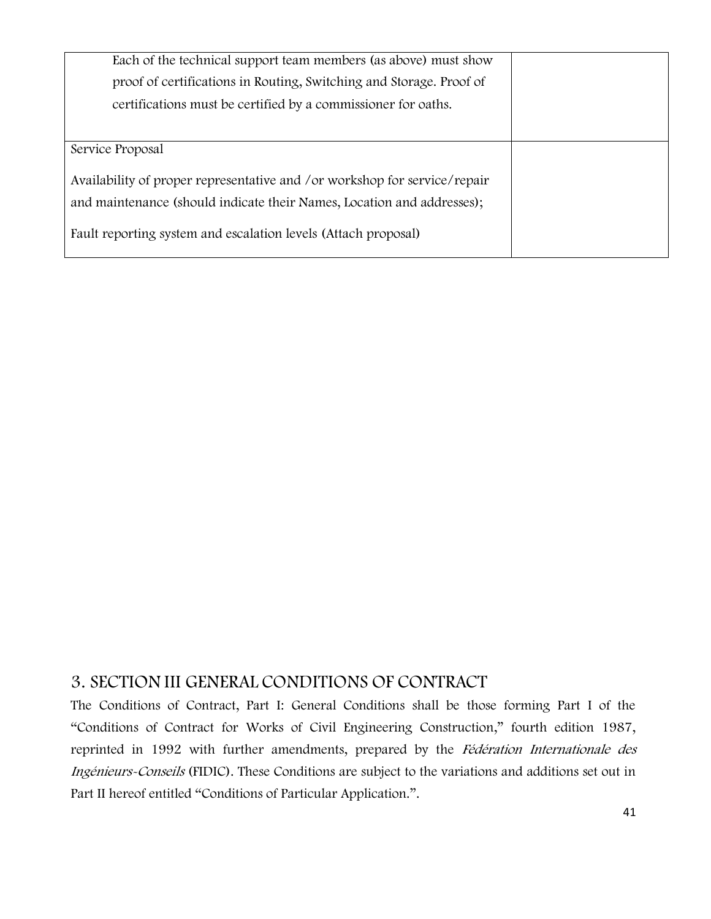| Each of the technical support team members (as above) must show           |  |
|---------------------------------------------------------------------------|--|
| proof of certifications in Routing, Switching and Storage. Proof of       |  |
| certifications must be certified by a commissioner for oaths.             |  |
|                                                                           |  |
| Service Proposal                                                          |  |
| Availability of proper representative and /or workshop for service/repair |  |
| and maintenance (should indicate their Names, Location and addresses);    |  |
| Fault reporting system and escalation levels (Attach proposal)            |  |

# **3. SECTION III GENERAL CONDITIONS OF CONTRACT**

The Conditions of Contract, Part I: General Conditions shall be those forming Part I of the "Conditions of Contract for Works of Civil Engineering Construction," fourth edition 1987, reprinted in 1992 with further amendments, prepared by the *Fédération Internationale des Ingénieurs-Conseils* (FIDIC). These Conditions are subject to the variations and additions set out in Part II hereof entitled "Conditions of Particular Application.".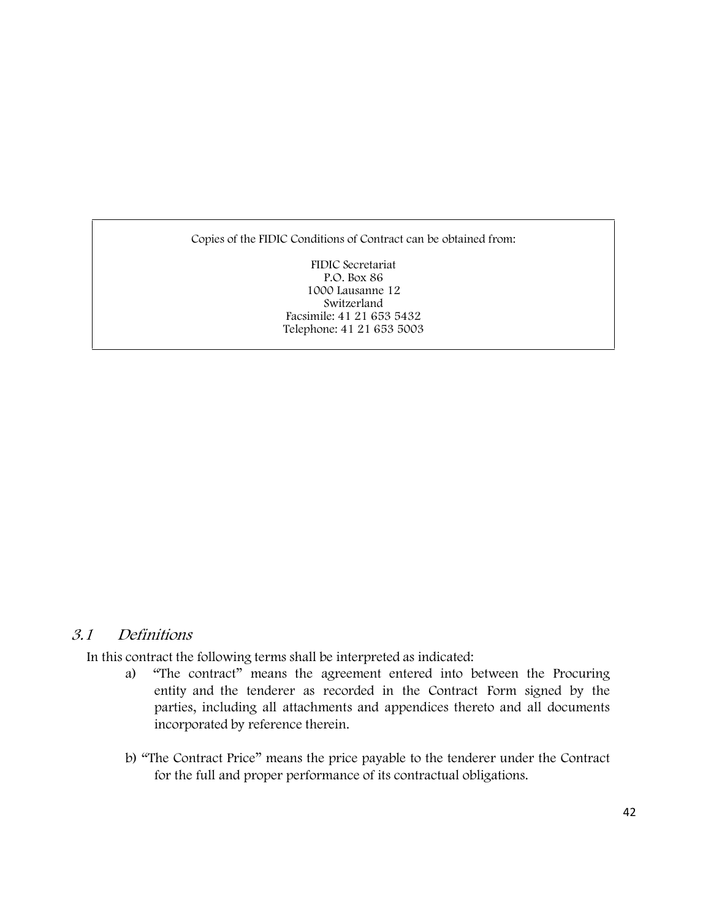Copies of the FIDIC Conditions of Contract can be obtained from:

FIDIC Secretariat P.O. Box 86 1000 Lausanne 12 Switzerland Facsimile: 41 21 653 5432 Telephone: 41 21 653 5003

#### *3.1 Definitions*

In this contract the following terms shall be interpreted as indicated:

- a) "The contract" means the agreement entered into between the Procuring entity and the tenderer as recorded in the Contract Form signed by the parties, including all attachments and appendices thereto and all documents incorporated by reference therein.
- b) "The Contract Price" means the price payable to the tenderer under the Contract for the full and proper performance of its contractual obligations.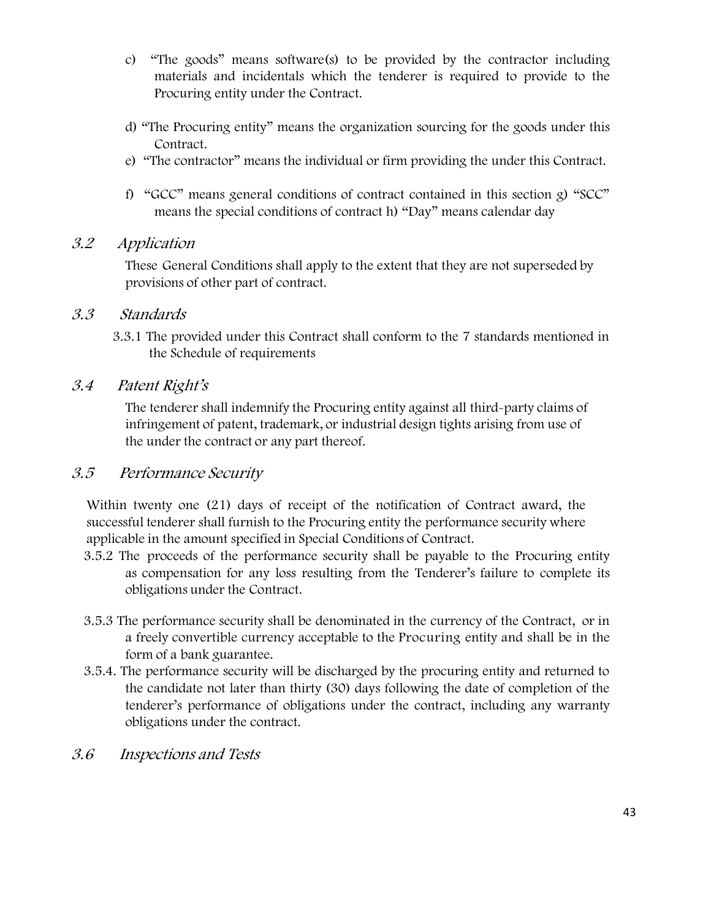- c) "The goods" means software(s) to be provided by the contractor including materials and incidentals which the tenderer is required to provide to the Procuring entity under the Contract.
- d) "The Procuring entity" means the organization sourcing for the goods under this Contract.
- e) "The contractor" means the individual or firm providing the under this Contract.
- f) "GCC" means general conditions of contract contained in this section g) "SCC" means the special conditions of contract h) "Day" means calendar day

#### *3.2 Application*

These General Conditions shall apply to the extent that they are not superseded by provisions of other part of contract.

#### *3.3 Standards*

3.3.1 The provided under this Contract shall conform to the 7 standards mentioned in the Schedule of requirements

#### *3.4 Patent Right's*

The tenderer shall indemnify the Procuring entity against all third-party claims of infringement of patent, trademark, or industrial design tights arising from use of the under the contract or any part thereof.

#### *3.5 Performance Security*

Within twenty one (21) days of receipt of the notification of Contract award, the successful tenderer shall furnish to the Procuring entity the performance security where applicable in the amount specified in Special Conditions of Contract.

- 3.5.2 The proceeds of the performance security shall be payable to the Procuring entity as compensation for any loss resulting from the Tenderer's failure to complete its obligations under the Contract.
- 3.5.3 The performance security shall be denominated in the currency of the Contract, or in a freely convertible currency acceptable to the Procuring entity and shall be in the form of **a bank guarantee.**
- 3.5.4. The performance security will be discharged by the procuring entity and returned to the candidate not later than thirty (30) days following the date of completion of the tenderer's performance of obligations under the contract, including any warranty obligations under the contract.
- *3.6 Inspections and Tests*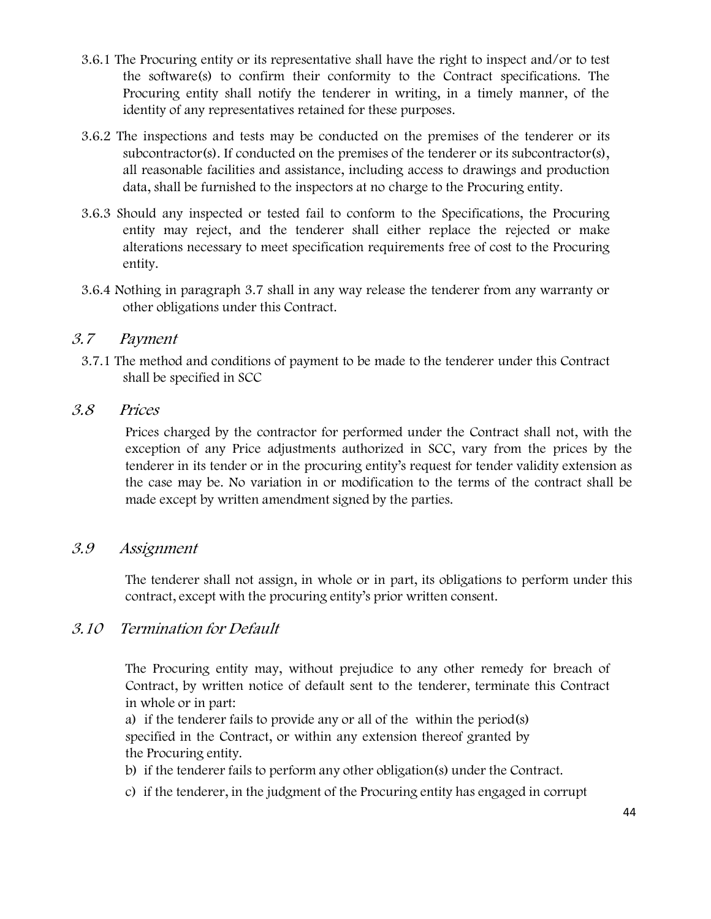- 3.6.1 The Procuring entity or its representative shall have the right to inspect and/or to test the software(s) to confirm their conformity to the Contract specifications. The Procuring entity shall notify the tenderer in writing, in a timely manner, of the identity of any representatives retained for these purposes.
- 3.6.2 The inspections and tests may be conducted on the premises of the tenderer or its subcontractor(s). If conducted on the premises of the tenderer or its subcontractor(s), all reasonable facilities and assistance, including access to drawings and production data, shall be furnished to the inspectors at no charge to the Procuring entity.
- 3.6.3 Should any inspected or tested fail to conform to the Specifications, the Procuring entity may reject, and the tenderer shall either replace the rejected or make alterations necessary to meet specification requirements free of cost to the Procuring entity.
- 3.6.4 Nothing in paragraph 3.7 shall in any way release the tenderer from any warranty or other obligations under this Contract.

#### *3.7 Payment*

3.7.1 The method and conditions of payment to be made to the tenderer under this Contract shall be specified in SCC

#### *3.8 Prices*

Prices charged by the contractor for performed under the Contract shall not, with the exception of any Price adjustments authorized in SCC, vary from the prices by the tenderer in its tender or in the procuring entity's request for tender validity extension as the case may be. No variation in or modification to the terms of the contract shall be made except by written amendment signed by the parties.

#### *3.9 Assignment*

The tenderer shall not assign, in whole or in part, its obligations to perform under this contract, except with the procuring entity's prior written consent.

#### *3.10 Termination for Default*

The Procuring entity may, without prejudice to any other remedy for breach of Contract, by written notice of default sent to the tenderer, terminate this Contract in whole or in part:

a) if the tenderer fails to provide any or all of the within the period(s) specified in the Contract, or within any extension thereof granted by the Procuring entity.

- b) if the tenderer fails to perform any other obligation(s) under the Contract.
- c) if the tenderer, in the judgment of the Procuring entity has engaged in corrupt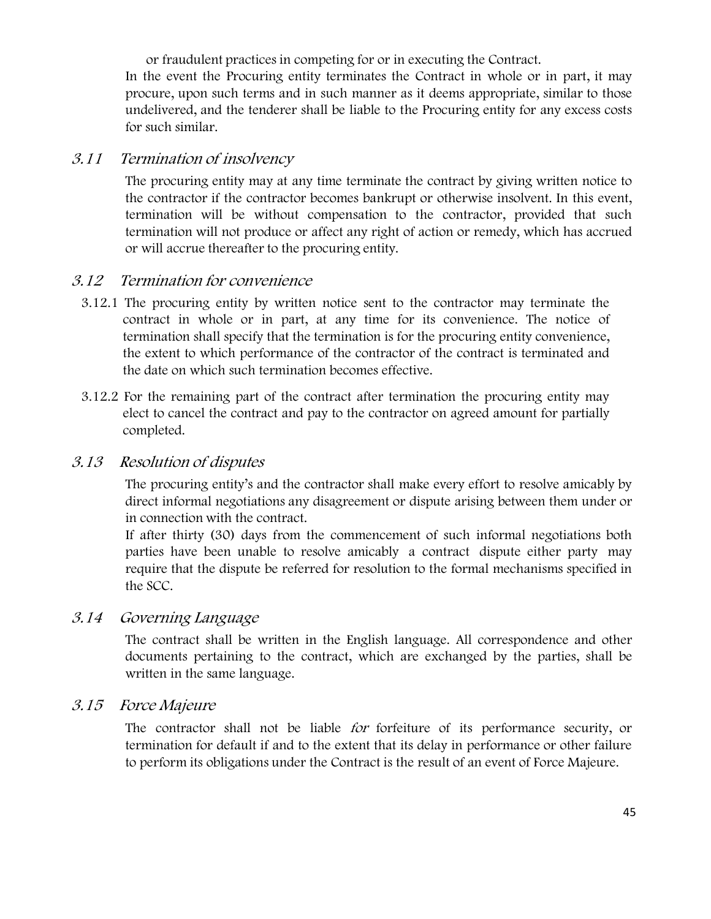or fraudulent practices in competing for or in executing the Contract.

In the event the Procuring entity terminates the Contract in whole or in part, it may procure, upon such terms and in such manner as it deems appropriate, similar to those undelivered, and the tenderer shall be liable to the Procuring entity for any excess costs for such similar.

#### *3.11 Termination of insolvency*

The procuring entity may at any time terminate the contract by giving written notice to the contractor if the contractor becomes bankrupt or otherwise insolvent. In this event, termination will be without compensation to the contractor, provided that such termination will not produce or affect any right of action or remedy, which has accrued or will accrue thereafter to the procuring entity.

### *3.12 Termination for convenience*

- 3.12.1 The procuring entity by written notice sent to the contractor may terminate the contract in whole or in part, at any time for its convenience. The notice of termination shall specify that the termination is for the procuring entity convenience, the extent to which performance of the contractor of the contract is terminated and the date on which such termination becomes effective.
- 3.12.2 For the remaining part of the contract after termination the procuring entity may elect to cancel the contract and pay to the contractor on agreed amount for partially completed.

#### *3.13 Resolution of disputes*

The procuring entity's and the contractor shall make every effort to resolve amicably by direct informal negotiations any disagreement or dispute arising between them under or in connection with the contract.

If after thirty (30) days from the commencement of such informal negotiations both parties have been unable to resolve amicably a contract dispute either party may require that the dispute be referred for resolution to the formal mechanisms specified in the SCC.

#### *3.14 Governing Language*

The contract shall be written in the English language. All correspondence and other documents pertaining to the contract, which are exchanged by the parties, shall be written in the same language.

### *3.15 Force Majeure*

The contractor shall not be liable *for* forfeiture of its performance security, or termination for default if and to the extent that its delay in performance or other failure to perform its obligations under the Contract is the result of an event of Force Majeure.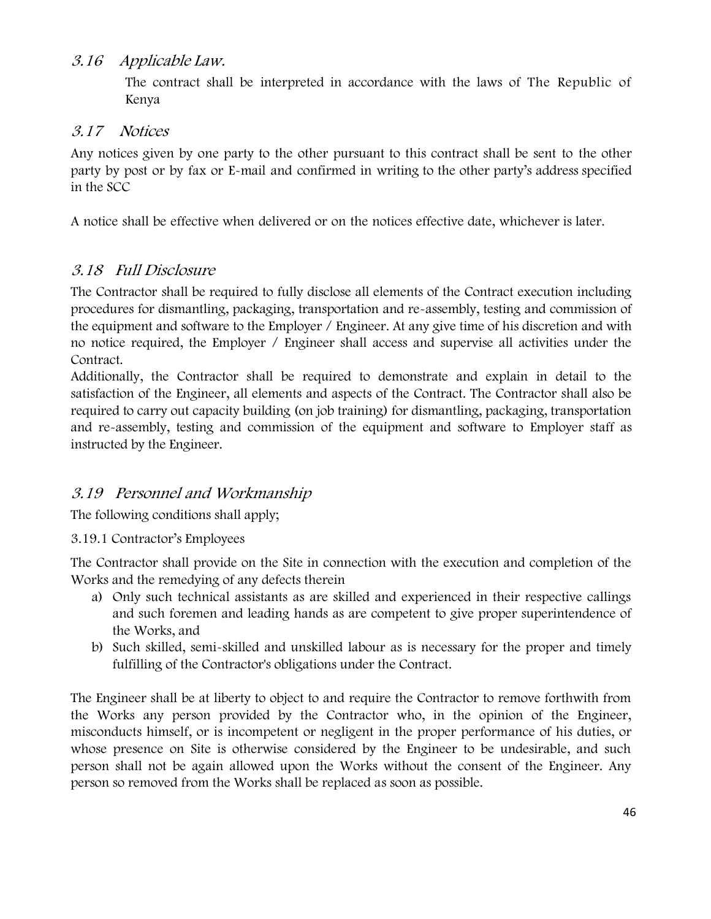#### *3.16 Applicable Law.*

The contract shall be interpreted in accordance with the laws of The Republic of Kenya

#### *3.17 Notices*

Any notices given by one party to the other pursuant to this contract shall be sent to the other party by post or by fax or E-mail and confirmed in writing to the other party's address specified in the SCC

A notice shall be effective when delivered or on the notices effective date, whichever is later.

### *3.18 Full Disclosure*

The Contractor shall be required to fully disclose all elements of the Contract execution including procedures for dismantling, packaging, transportation and re-assembly, testing and commission of the equipment and software to the Employer / Engineer. At any give time of his discretion and with no notice required, the Employer / Engineer shall access and supervise all activities under the Contract.

Additionally, the Contractor shall be required to demonstrate and explain in detail to the satisfaction of the Engineer, all elements and aspects of the Contract. The Contractor shall also be required to carry out capacity building (on job training) for dismantling, packaging, transportation and re-assembly, testing and commission of the equipment and software to Employer staff as instructed by the Engineer.

## *3.19 Personnel and Workmanship*

The following conditions shall apply;

3.19.1 Contractor's Employees

The Contractor shall provide on the Site in connection with the execution and completion of the Works and the remedying of any defects therein

- a) Only such technical assistants as are skilled and experienced in their respective callings and such foremen and leading hands as are competent to give proper superintendence of the Works, and
- b) Such skilled, semi-skilled and unskilled labour as is necessary for the proper and timely fulfilling of the Contractor's obligations under the Contract.

The Engineer shall be at liberty to object to and require the Contractor to remove forthwith from the Works any person provided by the Contractor who, in the opinion of the Engineer, misconducts himself, or is incompetent or negligent in the proper performance of his duties, or whose presence on Site is otherwise considered by the Engineer to be undesirable, and such person shall not be again allowed upon the Works without the consent of the Engineer. Any person so removed from the Works shall be replaced as soon as possible.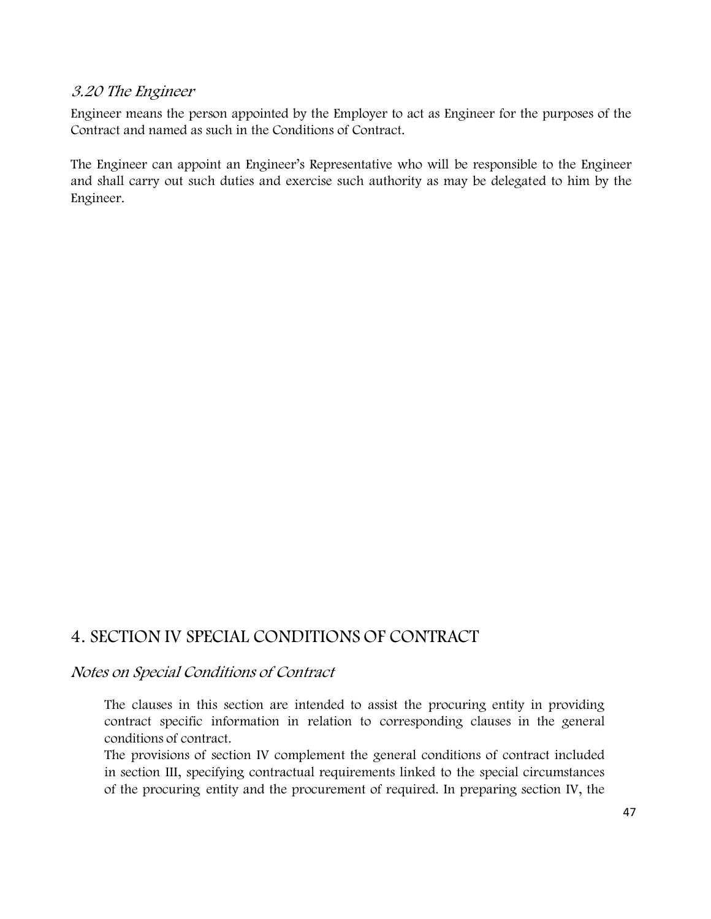#### *3.20 The Engineer*

Engineer means the person appointed by the Employer to act as Engineer for the purposes of the Contract and named as such in the Conditions of Contract.

The Engineer can appoint an Engineer's Representative who will be responsible to the Engineer and shall carry out such duties and exercise such authority as may be delegated to him by the Engineer.

# **4. SECTION IV SPECIAL CONDITIONS OF CONTRACT**

#### *Notes on Special Conditions of Contract*

The clauses in this section are intended to assist the procuring entity in providing contract specific information in relation to corresponding clauses in the general conditions of contract.

The provisions of section IV complement the general conditions of contract included in section III, specifying contractual requirements linked to the special circumstances of the procuring entity and the procurement of required. In preparing section IV, the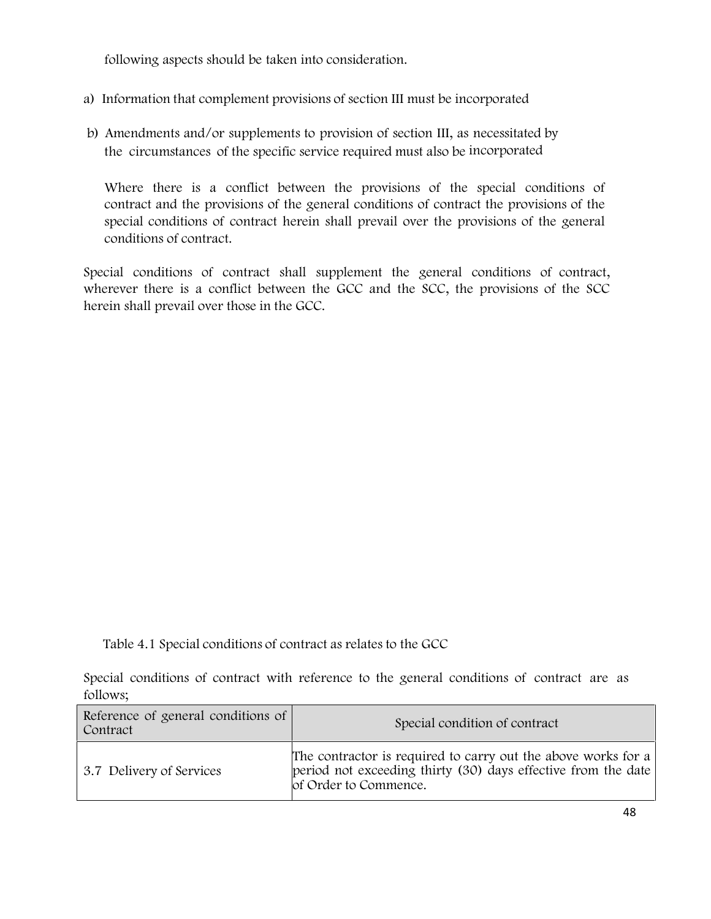following aspects should be taken into consideration.

- a) Information that complement provisions of section III must be incorporated
- b) Amendments and/or supplements to provision of section III, as necessitated by the circumstances of the specific service required must also be incorporated

Where there is a conflict between the provisions of the special conditions of contract and the provisions of the general conditions of contract the provisions of the special conditions of contract herein shall prevail over the provisions of the general conditions of contract.

Special conditions of contract shall supplement the general conditions of contract, wherever there is a conflict between the GCC and the SCC, the provisions of the SCC herein shall prevail over those in the GCC.

Table 4.1 **Special conditions of contract as relates to the GCC**

Special conditions of contract with reference to the general conditions of contract are as follows;

| Reference of general conditions of<br>Special condition of contract<br>Contract |                                                                                                                                                         |
|---------------------------------------------------------------------------------|---------------------------------------------------------------------------------------------------------------------------------------------------------|
| 3.7 Delivery of Services                                                        | The contractor is required to carry out the above works for a<br>period not exceeding thirty (30) days effective from the date<br>of Order to Commence. |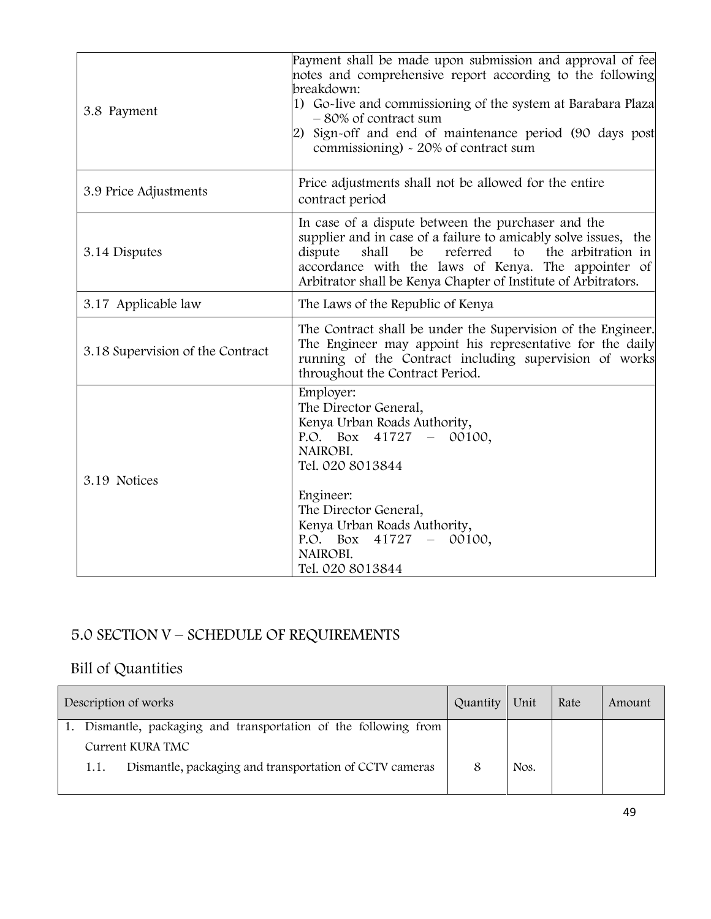| 3.8 Payment                      | Payment shall be made upon submission and approval of fee<br>notes and comprehensive report according to the following<br>breakdown:<br>1) Go-live and commissioning of the system at Barabara Plaza<br>-80% of contract sum<br>2) Sign-off and end of maintenance period (90 days post<br>commissioning) - 20% of contract sum |  |
|----------------------------------|---------------------------------------------------------------------------------------------------------------------------------------------------------------------------------------------------------------------------------------------------------------------------------------------------------------------------------|--|
| 3.9 Price Adjustments            | Price adjustments shall not be allowed for the entire<br>contract period                                                                                                                                                                                                                                                        |  |
| 3.14 Disputes                    | In case of a dispute between the purchaser and the<br>supplier and in case of a failure to amicably solve issues, the<br>shall<br>referred to<br>the arbitration in<br>dispute<br>be<br>accordance with the laws of Kenya. The appointer of<br>Arbitrator shall be Kenya Chapter of Institute of Arbitrators.                   |  |
| 3.17 Applicable law              | The Laws of the Republic of Kenya                                                                                                                                                                                                                                                                                               |  |
| 3.18 Supervision of the Contract | The Contract shall be under the Supervision of the Engineer.<br>The Engineer may appoint his representative for the daily<br>running of the Contract including supervision of works<br>throughout the Contract Period.                                                                                                          |  |
| 3.19 Notices                     | Employer:<br>The Director General,<br>Kenya Urban Roads Authority,<br>P.O. Box $41727 - 00100$ ,<br>NAIROBI.<br>Tel. 020 8013844<br>Engineer:<br>The Director General,<br>Kenya Urban Roads Authority,<br>P.O. Box $41727 - 00100$ ,<br>NAIROBI.<br>Tel. 020 8013844                                                            |  |

# **5.0 SECTION V – SCHEDULE OF REQUIREMENTS**

# **Bill of Quantities**

| Description of works |                                                               | Quantity                                                | Unit | Rate | Amount |  |
|----------------------|---------------------------------------------------------------|---------------------------------------------------------|------|------|--------|--|
|                      | Dismantle, packaging and transportation of the following from |                                                         |      |      |        |  |
|                      |                                                               | Current KURA TMC                                        |      |      |        |  |
|                      | 1.1.                                                          | Dismantle, packaging and transportation of CCTV cameras |      | Nos. |        |  |
|                      |                                                               |                                                         |      |      |        |  |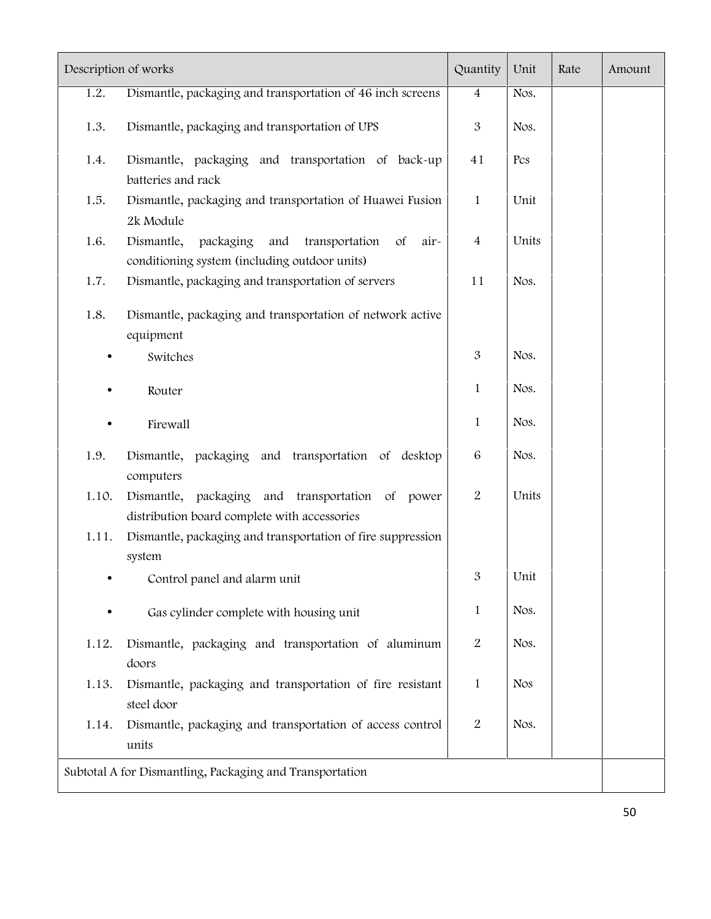| Description of works |                                                                                                           |                | Unit       | Rate | Amount |  |
|----------------------|-----------------------------------------------------------------------------------------------------------|----------------|------------|------|--------|--|
| 1.2.                 | Dismantle, packaging and transportation of 46 inch screens                                                |                | Nos.       |      |        |  |
| 1.3.                 | Dismantle, packaging and transportation of UPS                                                            | $\mathfrak{B}$ | Nos.       |      |        |  |
| 1.4.                 | Dismantle, packaging and transportation of back-up<br>batteries and rack                                  | 41             | Pcs        |      |        |  |
| 1.5.                 | Dismantle, packaging and transportation of Huawei Fusion<br>2k Module                                     | $\mathbf{1}$   | Unit       |      |        |  |
| 1.6.                 | Dismantle, packaging<br>and<br>transportation of<br>air-<br>conditioning system (including outdoor units) | $\overline{4}$ | Units      |      |        |  |
| 1.7.                 | Dismantle, packaging and transportation of servers                                                        | 11             | Nos.       |      |        |  |
| 1.8.                 | Dismantle, packaging and transportation of network active<br>equipment                                    |                |            |      |        |  |
|                      | Switches                                                                                                  | 3              | Nos.       |      |        |  |
|                      | Router                                                                                                    | 1              | Nos.       |      |        |  |
|                      | Firewall                                                                                                  | 1              | Nos.       |      |        |  |
| 1.9.                 | Dismantle, packaging and transportation of desktop<br>computers                                           | 6              | Nos.       |      |        |  |
| 1.10.                | Dismantle, packaging and transportation of power<br>distribution board complete with accessories          | 2              | Units      |      |        |  |
| 1.11.                | Dismantle, packaging and transportation of fire suppression<br>system                                     |                |            |      |        |  |
|                      | Control panel and alarm unit                                                                              | 3              | Unit       |      |        |  |
|                      | Gas cylinder complete with housing unit                                                                   | $\mathbf{1}$   | Nos.       |      |        |  |
| 1.12.                | Dismantle, packaging and transportation of aluminum<br>doors                                              | 2              | Nos.       |      |        |  |
| 1.13.                | Dismantle, packaging and transportation of fire resistant<br>steel door                                   | $\mathbf{1}$   | <b>Nos</b> |      |        |  |
| 1.14.                | Dismantle, packaging and transportation of access control<br>units                                        | 2              | Nos.       |      |        |  |
|                      | Subtotal A for Dismantling, Packaging and Transportation                                                  |                |            |      |        |  |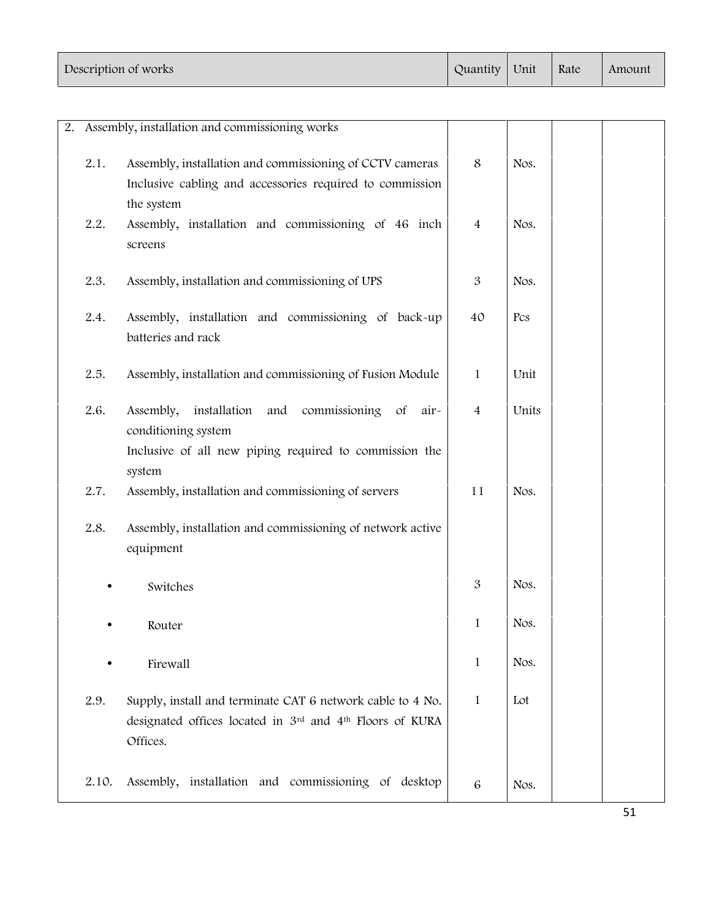| Description of works | Quantity   Unit | Rate | Amount |  |
|----------------------|-----------------|------|--------|--|
|                      |                 |      |        |  |

|       | 2. Assembly, installation and commissioning works                                                                                  |                |       |  |
|-------|------------------------------------------------------------------------------------------------------------------------------------|----------------|-------|--|
| 2.1.  | Assembly, installation and commissioning of CCTV cameras                                                                           | 8              | Nos.  |  |
|       | Inclusive cabling and accessories required to commission<br>the system                                                             |                |       |  |
| 2.2.  | Assembly, installation and commissioning of 46 inch<br>screens                                                                     | $\overline{4}$ | Nos.  |  |
| 2.3.  | Assembly, installation and commissioning of UPS                                                                                    | 3              | Nos.  |  |
| 2.4.  | Assembly, installation and commissioning of back-up<br>batteries and rack                                                          | 40             | Pcs   |  |
| 2.5.  | Assembly, installation and commissioning of Fusion Module                                                                          | $\mathbf{1}$   | Unit  |  |
| 2.6.  | installation and<br>commissioning<br>Assembly,<br>$\circ$ f<br>air-<br>conditioning system                                         | $\overline{4}$ | Units |  |
|       | Inclusive of all new piping required to commission the<br>system                                                                   |                |       |  |
| 2.7.  | Assembly, installation and commissioning of servers                                                                                | 11             | Nos.  |  |
| 2.8.  | Assembly, installation and commissioning of network active<br>equipment                                                            |                |       |  |
|       | Switches                                                                                                                           | 3              | Nos.  |  |
|       | Router                                                                                                                             | $\mathbf{1}$   | Nos.  |  |
|       | Firewall                                                                                                                           | 1              | Nos.  |  |
| 2.9.  | Supply, install and terminate CAT 6 network cable to 4 No.<br>designated offices located in 3rd and 4th Floors of KURA<br>Offices. | $\mathbf{1}$   | Lot   |  |
| 2.10. | Assembly, installation and commissioning of desktop                                                                                | $\,6\,$        | Nos.  |  |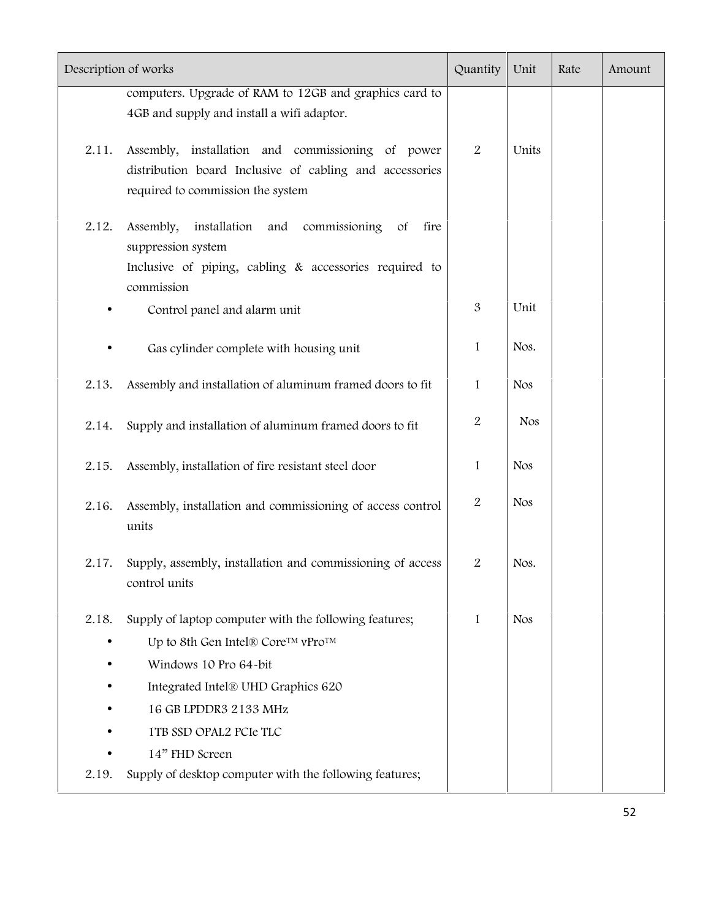| Description of works |                                                                                                                                                   |                  | Unit       | Rate | Amount |
|----------------------|---------------------------------------------------------------------------------------------------------------------------------------------------|------------------|------------|------|--------|
|                      | computers. Upgrade of RAM to 12GB and graphics card to                                                                                            |                  |            |      |        |
|                      | 4GB and supply and install a wifi adaptor.                                                                                                        |                  |            |      |        |
| 2.11.                | Assembly, installation and commissioning of power<br>distribution board Inclusive of cabling and accessories<br>required to commission the system | $\overline{2}$   | Units      |      |        |
| 2.12.                | installation<br>commissioning<br>Assembly,<br>and<br>$\sigma f$<br>fire<br>suppression system                                                     |                  |            |      |        |
|                      | Inclusive of piping, cabling & accessories required to<br>commission                                                                              |                  |            |      |        |
|                      | Control panel and alarm unit                                                                                                                      | 3                | Unit       |      |        |
|                      | Gas cylinder complete with housing unit                                                                                                           | 1                | Nos.       |      |        |
| 2.13.                | Assembly and installation of aluminum framed doors to fit                                                                                         | 1                | <b>Nos</b> |      |        |
| 2.14.                | Supply and installation of aluminum framed doors to fit                                                                                           | $\boldsymbol{2}$ | <b>Nos</b> |      |        |
| 2.15.                | Assembly, installation of fire resistant steel door                                                                                               | $\mathbf{1}$     | <b>Nos</b> |      |        |
| 2.16.                | Assembly, installation and commissioning of access control<br>units                                                                               | $\overline{2}$   | <b>Nos</b> |      |        |
| 2.17.                | Supply, assembly, installation and commissioning of access<br>control units                                                                       | $\boldsymbol{2}$ | Nos.       |      |        |
| 2.18.                | Supply of laptop computer with the following features;                                                                                            | 1                | <b>Nos</b> |      |        |
|                      | Up to 8th Gen Intel® Core™ vPro™                                                                                                                  |                  |            |      |        |
|                      | Windows 10 Pro 64-bit                                                                                                                             |                  |            |      |        |
|                      | Integrated Intel® UHD Graphics 620                                                                                                                |                  |            |      |        |
|                      | 16 GB LPDDR3 2133 MHz                                                                                                                             |                  |            |      |        |
|                      | 1TB SSD OPAL2 PCIe TLC                                                                                                                            |                  |            |      |        |
|                      | 14" FHD Screen                                                                                                                                    |                  |            |      |        |
| 2.19.                | Supply of desktop computer with the following features;                                                                                           |                  |            |      |        |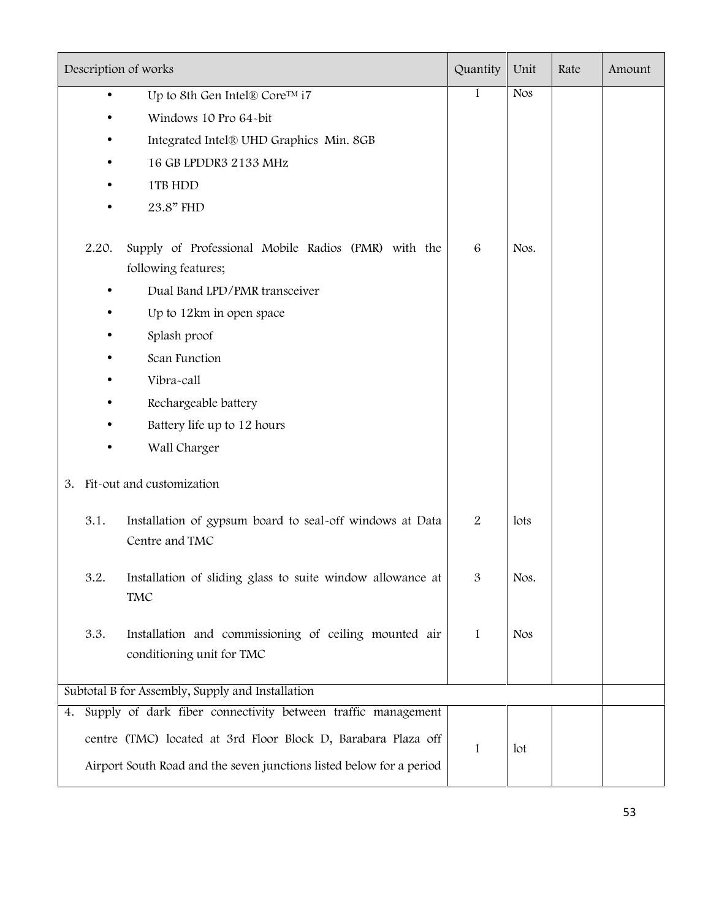|    |       | Description of works                                                               | Quantity | Unit            | Rate | Amount |
|----|-------|------------------------------------------------------------------------------------|----------|-----------------|------|--------|
|    |       | Up to 8th Gen Intel® Core™ i7                                                      | 1        | <b>Nos</b>      |      |        |
|    |       | Windows 10 Pro 64-bit                                                              |          |                 |      |        |
|    |       | Integrated Intel® UHD Graphics Min. 8GB                                            |          |                 |      |        |
|    |       | 16 GB LPDDR3 2133 MHz                                                              |          |                 |      |        |
|    |       | 1TB HDD                                                                            |          |                 |      |        |
|    |       | 23.8" FHD                                                                          |          |                 |      |        |
|    | 2.20. | Supply of Professional Mobile Radios (PMR) with the<br>following features;         | 6        | Nos.            |      |        |
|    |       | Dual Band LPD/PMR transceiver                                                      |          |                 |      |        |
|    |       | Up to 12km in open space                                                           |          |                 |      |        |
|    |       | Splash proof                                                                       |          |                 |      |        |
|    |       | Scan Function                                                                      |          |                 |      |        |
|    |       | Vibra-call                                                                         |          |                 |      |        |
|    |       | Rechargeable battery                                                               |          |                 |      |        |
|    |       | Battery life up to 12 hours                                                        |          |                 |      |        |
|    |       | Wall Charger                                                                       |          |                 |      |        |
| 3. |       | Fit-out and customization                                                          |          |                 |      |        |
|    | 3.1.  | Installation of gypsum board to seal-off windows at Data<br>Centre and TMC         | 2        | lots            |      |        |
|    | 3.2.  | Installation of sliding glass to suite window allowance at<br>TMC                  | 3        | Nos.            |      |        |
|    | 3.3.  | Installation and commissioning of ceiling mounted air<br>conditioning unit for TMC | 1        | <b>Nos</b>      |      |        |
|    |       | Subtotal B for Assembly, Supply and Installation                                   |          |                 |      |        |
| 4. |       | Supply of dark fiber connectivity between traffic management                       |          |                 |      |        |
|    |       | centre (TMC) located at 3rd Floor Block D, Barabara Plaza off                      |          |                 |      |        |
|    |       | Airport South Road and the seven junctions listed below for a period               | 1        | 1 <sub>ot</sub> |      |        |
|    |       |                                                                                    |          |                 |      |        |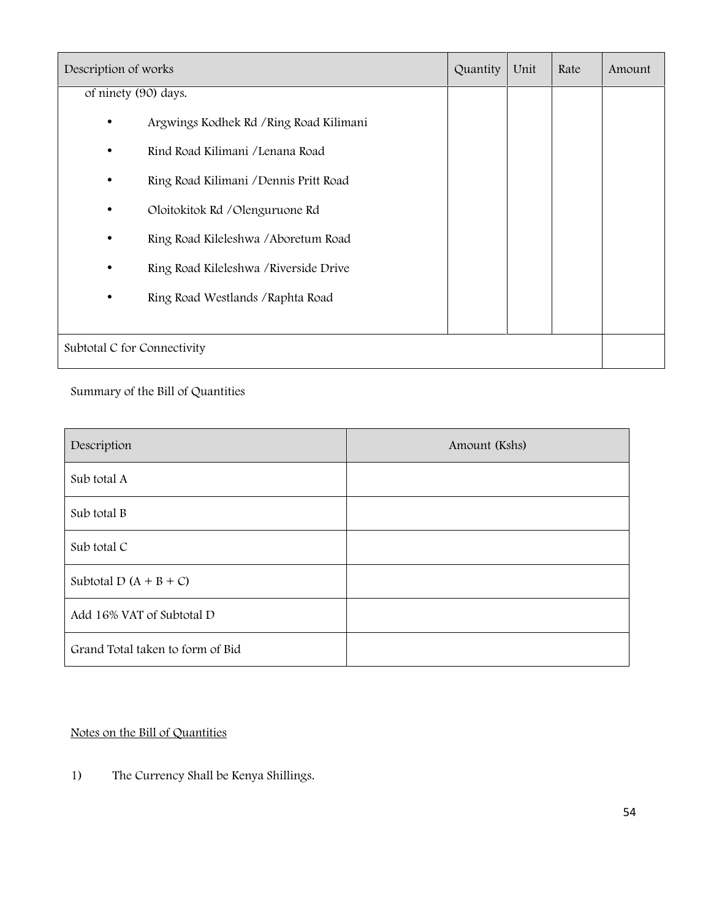| Description of works        |                                         | Quantity | Unit | Rate | Amount |
|-----------------------------|-----------------------------------------|----------|------|------|--------|
| of ninety (90) days.        |                                         |          |      |      |        |
| $\bullet$                   | Argwings Kodhek Rd / Ring Road Kilimani |          |      |      |        |
| $\bullet$                   | Rind Road Kilimani / Lenana Road        |          |      |      |        |
| $\bullet$                   | Ring Road Kilimani / Dennis Pritt Road  |          |      |      |        |
| $\bullet$                   | Oloitokitok Rd / Olenguruone Rd         |          |      |      |        |
| $\bullet$                   | Ring Road Kileleshwa / Aboretum Road    |          |      |      |        |
| $\bullet$                   | Ring Road Kileleshwa / Riverside Drive  |          |      |      |        |
| $\bullet$                   | Ring Road Westlands / Raphta Road       |          |      |      |        |
|                             |                                         |          |      |      |        |
| Subtotal C for Connectivity |                                         |          |      |      |        |

Summary of the Bill of Quantities

| Description                      | Amount (Kshs) |
|----------------------------------|---------------|
| Sub total A                      |               |
| Sub total B                      |               |
| Sub total C                      |               |
| Subtotal D $(A + B + C)$         |               |
| Add 16% VAT of Subtotal D        |               |
| Grand Total taken to form of Bid |               |

#### **Notes on the Bill of Quantities**

1) The Currency Shall be Kenya Shillings.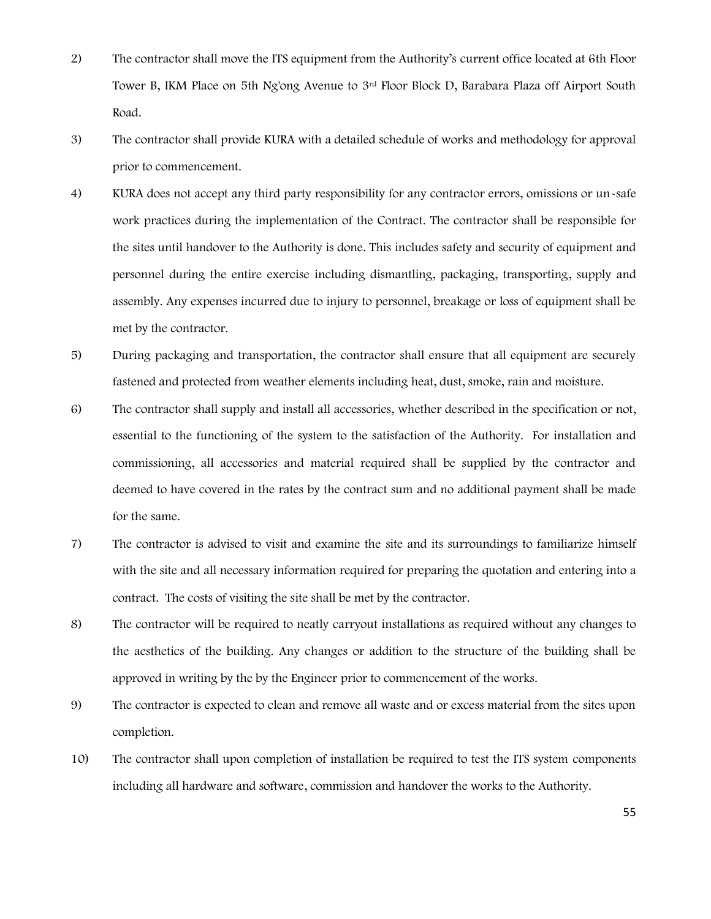- 2) The contractor shall move the ITS equipment from the Authority's current office located at 6th Floor Tower B, IKM Place on 5th Ng'ong Avenue to 3rd Floor Block D, Barabara Plaza off Airport South Road.
- 3) The contractor shall provide KURA with a detailed schedule of works and methodology for approval prior to commencement.
- 4) KURA does not accept any third party responsibility for any contractor errors, omissions or un-safe work practices during the implementation of the Contract. The contractor shall be responsible for the sites until handover to the Authority is done. This includes safety and security of equipment and personnel during the entire exercise including dismantling, packaging, transporting, supply and assembly. Any expenses incurred due to injury to personnel, breakage or loss of equipment shall be met by the contractor.
- 5) During packaging and transportation, the contractor shall ensure that all equipment are securely fastened and protected from weather elements including heat, dust, smoke, rain and moisture.
- 6) The contractor shall supply and install all accessories, whether described in the specification or not, essential to the functioning of the system to the satisfaction of the Authority. For installation and commissioning, all accessories and material required shall be supplied by the contractor and deemed to have covered in the rates by the contract sum and no additional payment shall be made for the same.
- 7) The contractor is advised to visit and examine the site and its surroundings to familiarize himself with the site and all necessary information required for preparing the quotation and entering into a contract. The costs of visiting the site shall be met by the contractor.
- 8) The contractor will be required to neatly carryout installations as required without any changes to the aesthetics of the building. Any changes or addition to the structure of the building shall be approved in writing by the by the Engineer prior to commencement of the works.
- 9) The contractor is expected to clean and remove all waste and or excess material from the sites upon completion.
- 10) The contractor shall upon completion of installation be required to test the ITS system components including all hardware and software, commission and handover the works to the Authority.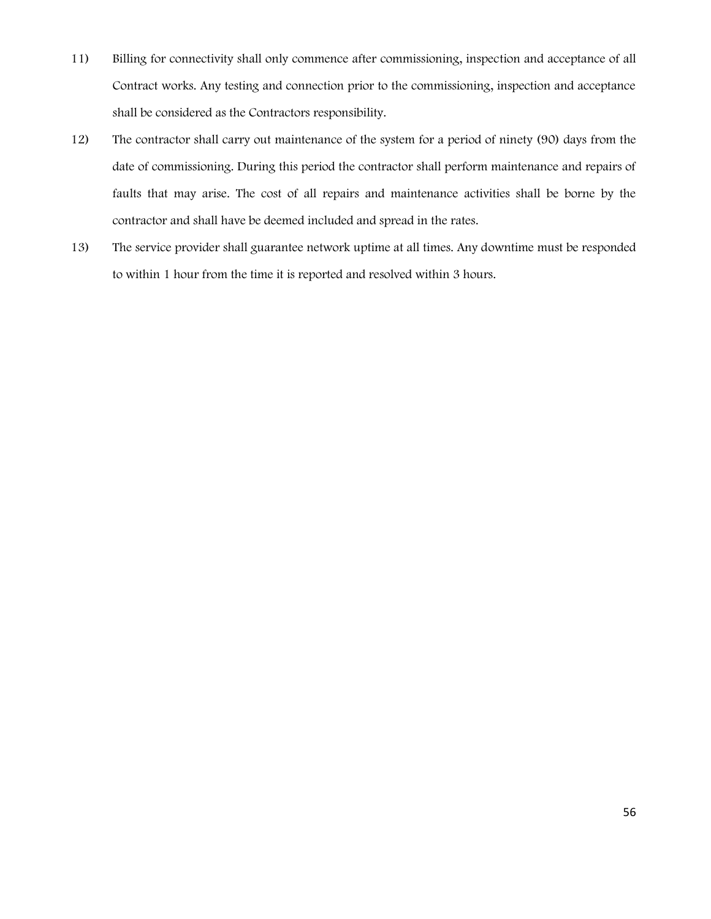- 11) Billing for connectivity shall only commence after commissioning, inspection and acceptance of all Contract works. Any testing and connection prior to the commissioning, inspection and acceptance shall be considered as the Contractors responsibility.
- 12) The contractor shall carry out maintenance of the system for a period of ninety (90) days from the date of commissioning. During this period the contractor shall perform maintenance and repairs of faults that may arise. The cost of all repairs and maintenance activities shall be borne by the contractor and shall have be deemed included and spread in the rates.
- 13) The service provider shall guarantee network uptime at all times. Any downtime must be responded to within 1 hour from the time it is reported and resolved within 3 hours.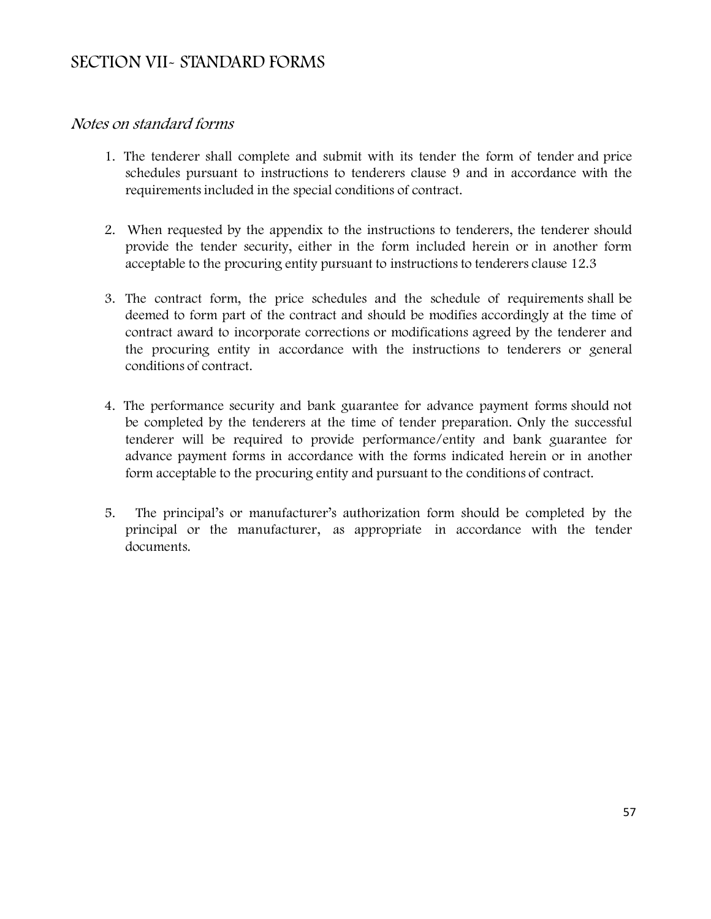# **SECTION VII- STANDARD FORMS**

#### *Notes on standard forms*

- 1. The tenderer shall complete and submit with its tender the form of tender and price schedules pursuant to instructions to tenderers clause 9 and in accordance with the requirements included in the special conditions of contract.
- 2. When requested by the appendix to the instructions to tenderers, the tenderer should provide the tender security, either in the form included herein or in another form acceptable to the procuring entity pursuant to instructions to tenderers clause 12.3
- 3. The contract form, the price schedules and the schedule of requirements shall be deemed to form part of the contract and should be modifies accordingly at the time of contract award to incorporate corrections or modifications agreed by the tenderer and the procuring entity in accordance with the instructions to tenderers or general conditions of contract.
- 4. The performance security and bank guarantee for advance payment forms should not be completed by the tenderers at the time of tender preparation. Only the successful tenderer will be required to provide performance/entity and bank guarantee for advance payment forms in accordance with the forms indicated herein or in another form acceptable to the procuring entity and pursuant to the conditions of contract.
- 5. The principal's or manufacturer's authorization form should be completed by the principal or the manufacturer, as appropriate in accordance with the tender documents.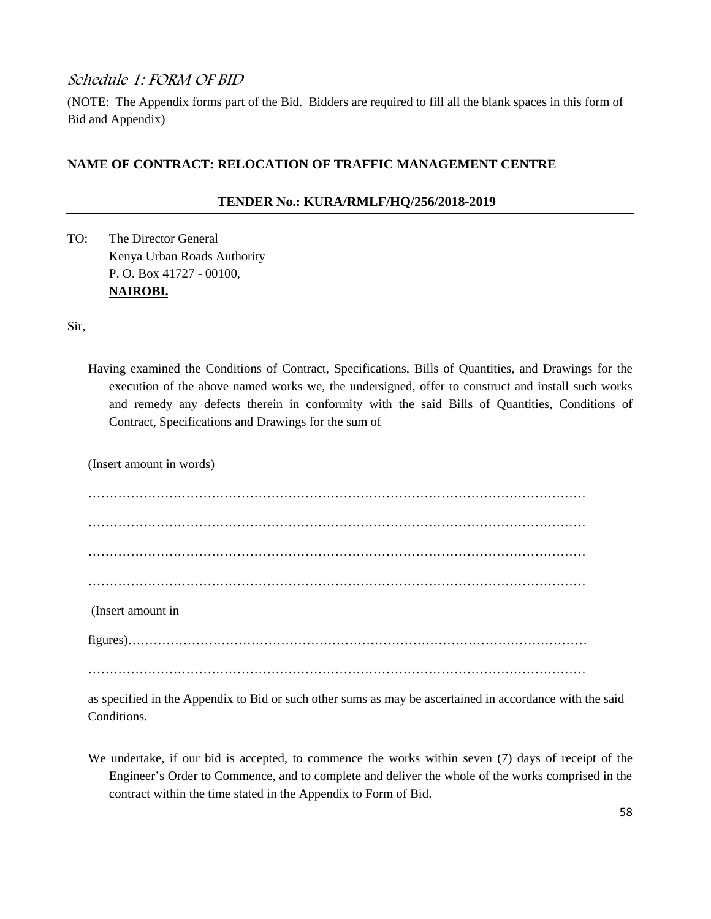#### *Schedule 1: FORM OF BID*

(NOTE: The Appendix forms part of the Bid. Bidders are required to fill all the blank spaces in this form of Bid and Appendix)

#### **NAME OF CONTRACT: RELOCATION OF TRAFFIC MANAGEMENT CENTRE**

#### **TENDER No.: KURA/RMLF/HQ/256/2018-2019**

TO: The Director General Kenya Urban Roads Authority P. O. Box 41727 - 00100, **NAIROBI.**

Sir,

Having examined the Conditions of Contract, Specifications, Bills of Quantities, and Drawings for the execution of the above named works we, the undersigned, offer to construct and install such works and remedy any defects therein in conformity with the said Bills of Quantities, Conditions of Contract, Specifications and Drawings for the sum of

(Insert amount in words)

……………………………………………………………………………………………………… ……………………………………………………………………………………………………… ……………………………………………………………………………………………………… ……………………………………………………………………………………………………… (Insert amount in figures)……………………………………………………………………………………………… ………………………………………………………………………………………………………

as specified in the Appendix to Bid or such other sums as may be ascertained in accordance with the said Conditions.

We undertake, if our bid is accepted, to commence the works within seven (7) days of receipt of the Engineer's Order to Commence, and to complete and deliver the whole of the works comprised in the contract within the time stated in the Appendix to Form of Bid.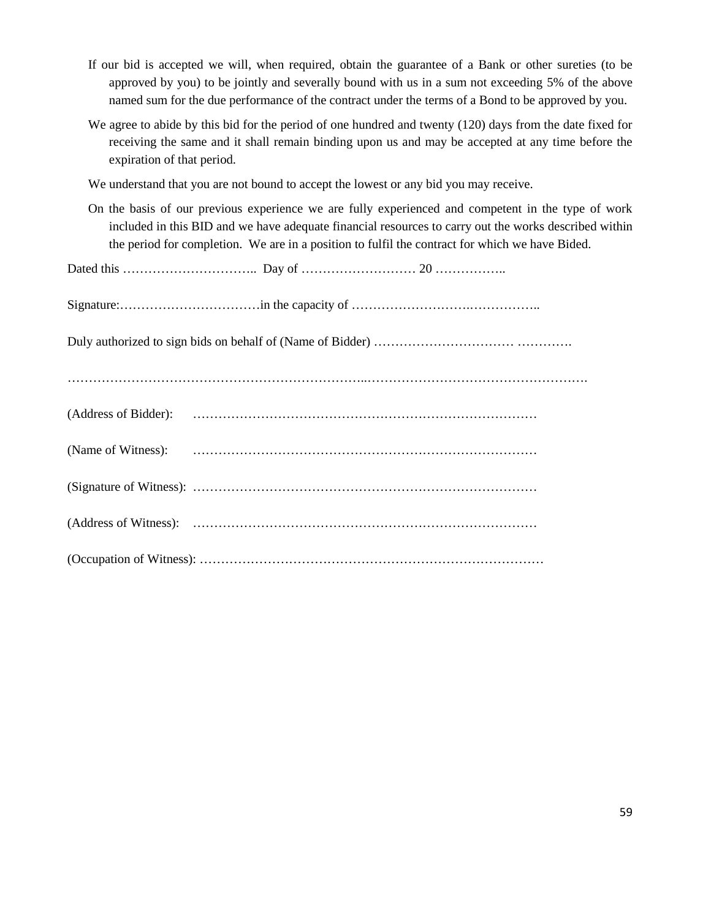- If our bid is accepted we will, when required, obtain the guarantee of a Bank or other sureties (to be approved by you) to be jointly and severally bound with us in a sum not exceeding 5% of the above named sum for the due performance of the contract under the terms of a Bond to be approved by you.
- We agree to abide by this bid for the period of one hundred and twenty (120) days from the date fixed for receiving the same and it shall remain binding upon us and may be accepted at any time before the expiration of that period.

We understand that you are not bound to accept the lowest or any bid you may receive.

On the basis of our previous experience we are fully experienced and competent in the type of work included in this BID and we have adequate financial resources to carry out the works described within the period for completion. We are in a position to fulfil the contract for which we have Bided.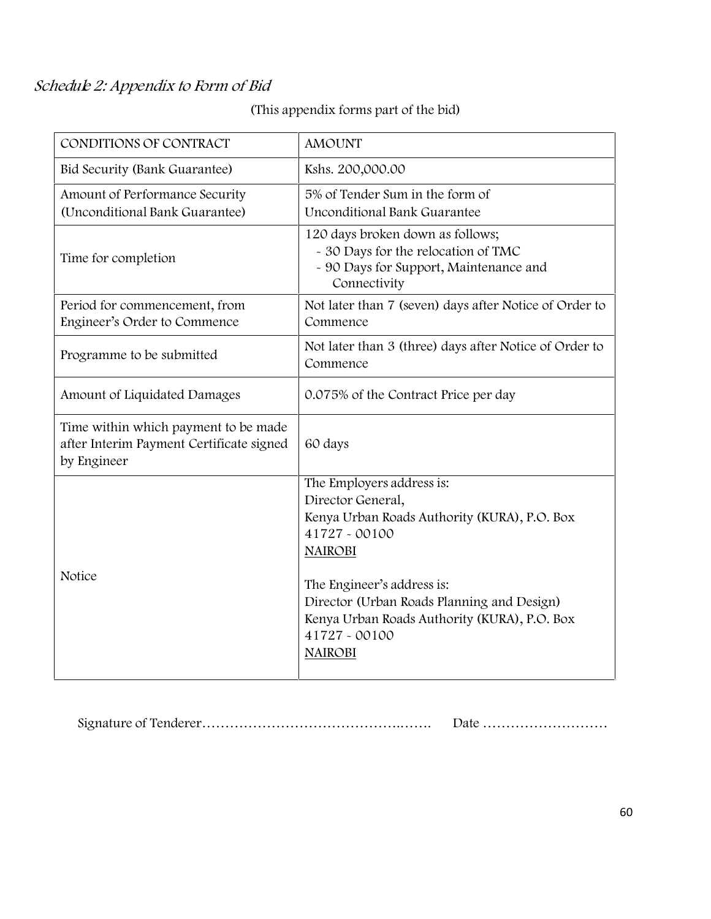# *Schedule 2: Appendix to Form of Bid*

**(This appendix forms part of the bid)**

| CONDITIONS OF CONTRACT                                                                          | <b>AMOUNT</b>                                                                                                                                                                                                                                                                                    |
|-------------------------------------------------------------------------------------------------|--------------------------------------------------------------------------------------------------------------------------------------------------------------------------------------------------------------------------------------------------------------------------------------------------|
| Bid Security (Bank Guarantee)                                                                   | Kshs. 200,000.00                                                                                                                                                                                                                                                                                 |
| Amount of Performance Security<br>(Unconditional Bank Guarantee)                                | 5% of Tender Sum in the form of<br>Unconditional Bank Guarantee                                                                                                                                                                                                                                  |
| Time for completion                                                                             | 120 days broken down as follows;<br>- 30 Days for the relocation of TMC<br>- 90 Days for Support, Maintenance and<br>Connectivity                                                                                                                                                                |
| Period for commencement, from<br>Engineer's Order to Commence                                   | Not later than 7 (seven) days after Notice of Order to<br>Commence                                                                                                                                                                                                                               |
| Programme to be submitted                                                                       | Not later than 3 (three) days after Notice of Order to<br>Commence                                                                                                                                                                                                                               |
| Amount of Liquidated Damages                                                                    | 0.075% of the Contract Price per day                                                                                                                                                                                                                                                             |
| Time within which payment to be made<br>after Interim Payment Certificate signed<br>by Engineer | 60 days                                                                                                                                                                                                                                                                                          |
| Notice                                                                                          | The Employers address is:<br>Director General,<br>Kenya Urban Roads Authority (KURA), P.O. Box<br>41727 - 00100<br><b>NAIROBI</b><br>The Engineer's address is:<br>Director (Urban Roads Planning and Design)<br>Kenya Urban Roads Authority (KURA), P.O. Box<br>41727 - 00100<br><b>NAIROBI</b> |

Signature of Tenderer…………………………………….……. Date ………………………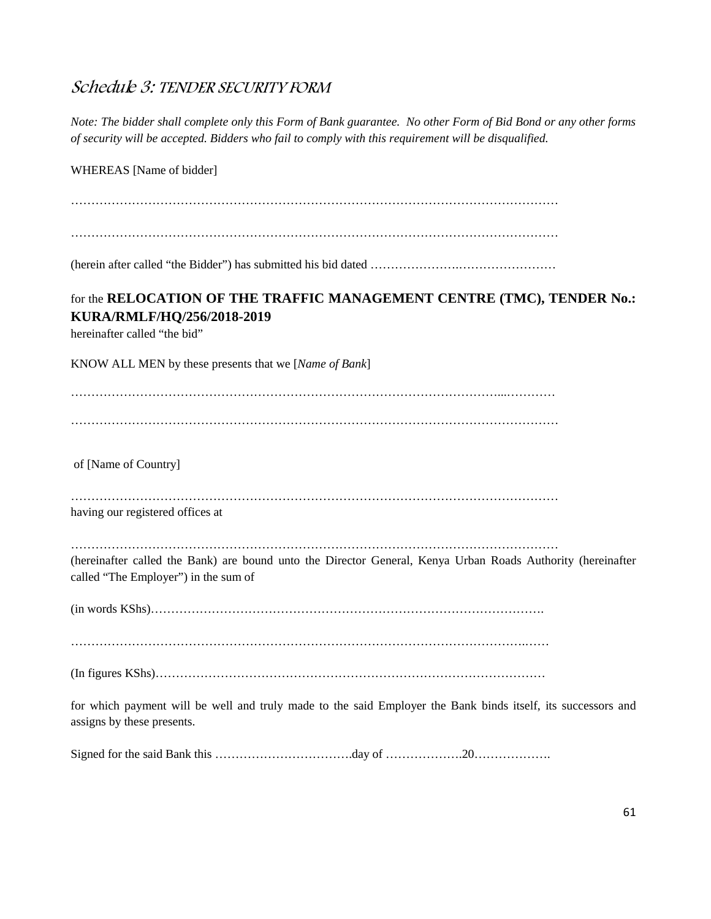# *Schedule 3: TENDER SECURITY FORM*

| Note: The bidder shall complete only this Form of Bank guarantee. No other Form of Bid Bond or any other forms<br>of security will be accepted. Bidders who fail to comply with this requirement will be disqualified. |
|------------------------------------------------------------------------------------------------------------------------------------------------------------------------------------------------------------------------|
| WHEREAS [Name of bidder]                                                                                                                                                                                               |
|                                                                                                                                                                                                                        |
|                                                                                                                                                                                                                        |
|                                                                                                                                                                                                                        |
| for the RELOCATION OF THE TRAFFIC MANAGEMENT CENTRE (TMC), TENDER No.:<br>KURA/RMLF/HQ/256/2018-2019<br>hereinafter called "the bid"                                                                                   |
| KNOW ALL MEN by these presents that we [Name of Bank]                                                                                                                                                                  |
|                                                                                                                                                                                                                        |
|                                                                                                                                                                                                                        |
| of [Name of Country]                                                                                                                                                                                                   |
| having our registered offices at                                                                                                                                                                                       |
| (hereinafter called the Bank) are bound unto the Director General, Kenya Urban Roads Authority (hereinafter<br>called "The Employer") in the sum of                                                                    |
|                                                                                                                                                                                                                        |
|                                                                                                                                                                                                                        |
| for which payment will be well and truly made to the said Employer the Bank binds itself, its successors and<br>assigns by these presents.                                                                             |
|                                                                                                                                                                                                                        |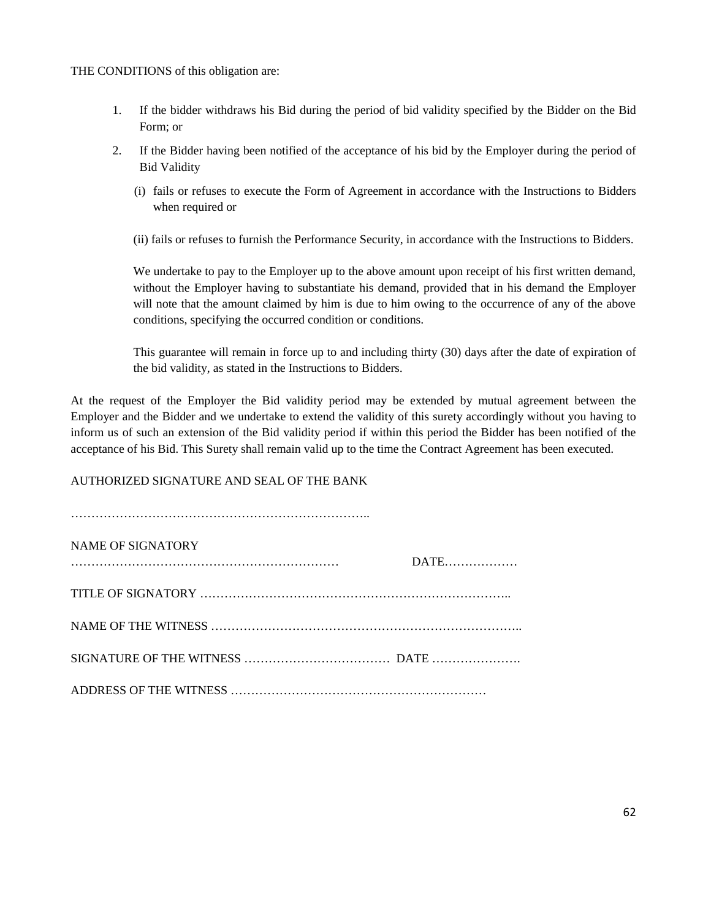THE CONDITIONS of this obligation are:

- 1. If the bidder withdraws his Bid during the period of bid validity specified by the Bidder on the Bid Form; or
- 2. If the Bidder having been notified of the acceptance of his bid by the Employer during the period of Bid Validity
	- (i) fails or refuses to execute the Form of Agreement in accordance with the Instructions to Bidders when required or
	- (ii) fails or refuses to furnish the Performance Security, in accordance with the Instructions to Bidders.

We undertake to pay to the Employer up to the above amount upon receipt of his first written demand, without the Employer having to substantiate his demand, provided that in his demand the Employer will note that the amount claimed by him is due to him owing to the occurrence of any of the above conditions, specifying the occurred condition or conditions.

This guarantee will remain in force up to and including thirty (30) days after the date of expiration of the bid validity, as stated in the Instructions to Bidders.

At the request of the Employer the Bid validity period may be extended by mutual agreement between the Employer and the Bidder and we undertake to extend the validity of this surety accordingly without you having to inform us of such an extension of the Bid validity period if within this period the Bidder has been notified of the acceptance of his Bid. This Surety shall remain valid up to the time the Contract Agreement has been executed.

AUTHORIZED SIGNATURE AND SEAL OF THE BANK

| NAME OF SIGNATORY | DATE |
|-------------------|------|
|                   |      |
|                   |      |
|                   |      |
|                   |      |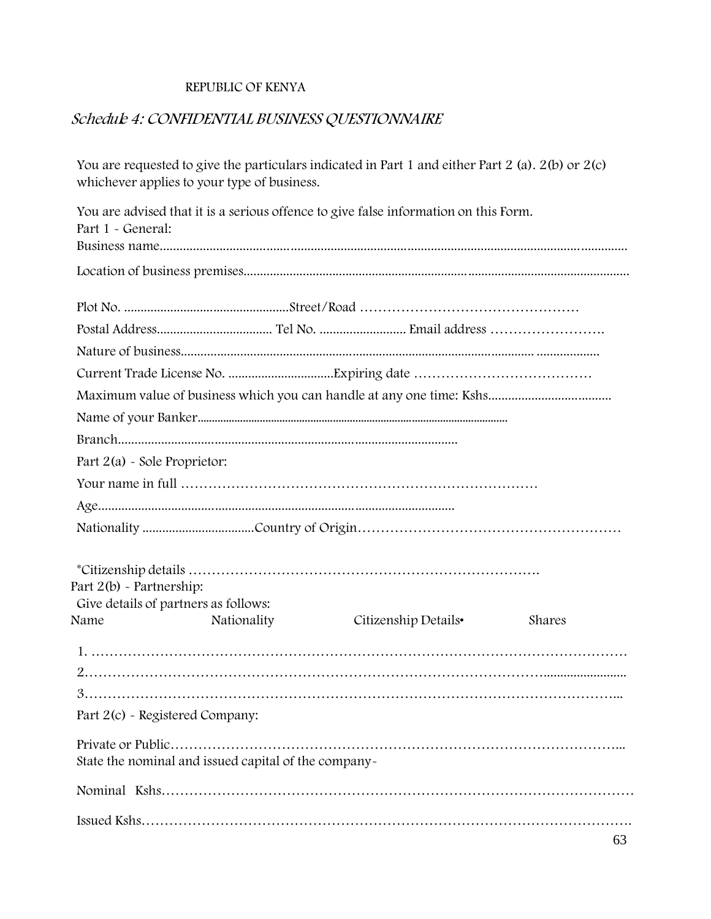#### **REPUBLIC OFKENYA**

#### *Schedule 4: CONFIDENTIAL BUSINESS QUESTIONNAIRE*

You are requested to give the particulars indicated in Part 1 and either Part 2 (a).  $2(b)$  or  $2(c)$ whichever applies to your type of business. You are advised that it is a serious offence to give false information on this Form. Part 1 - General: Business name............................................................................................................................................ Location of business premises..................................................................................................................... Plot No. ..................................................Street/Road ………………………………………… Postal Address................................... Tel No. .......................... Email address ……………………. Nature of business........................................................................................................... ................... Current Trade License No. ................................Expiring date ………………………………… Maximum value of business which you can handle at any one time: Kshs..................................... Name of your Banker.............................................................................................................. Branch...................................................................................................... Part 2(a) - Sole Proprietor: Your name in full …………………………………………………………………… Age........................................................................................................... Nationality ...................................Country of Origin…………………………………………… \*Citizenship details …………………………………………………………………. Part 2(b) - Partnership: Give details of partners as follows: Name Nationality Citizenship Details• Shares 1. ……………………………………………………………………………………………………… 2………………………………………………………………………………………......................... 3……………………………………………………………………………………………………... Part 2(c) - Registered Company: Private or Public……………………………………………………………………………………... State the nominal and issued capital of the company- Nominal Kshs………………………………………………………………………………………… Issued Kshs…………………………………………………………………………………………….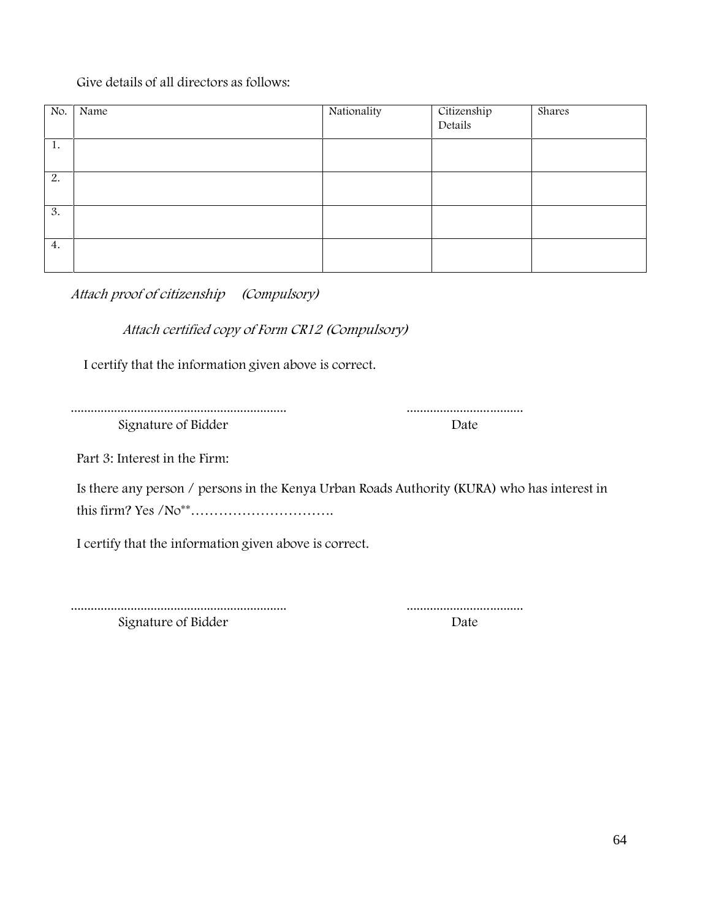#### Give details of all directors as follows:

| No. | Name | Nationality | Citizenship<br>Details | Shares |
|-----|------|-------------|------------------------|--------|
|     |      |             |                        |        |
| 1.  |      |             |                        |        |
| 2.  |      |             |                        |        |
| 3.  |      |             |                        |        |
| 4.  |      |             |                        |        |

*Attach proof of citizenship (Compulsory)*

*Attach certified copy of Form CR12 (Compulsory)*

I certify that the information given above is correct.

................................................................. ................................... Signature of Bidder Date

Part 3: Interest in the Firm:

Is there any person / persons in the Kenya Urban Roads Authority (KURA) who has interest in this firm? Yes /No\*\*………………………….

I certify that the information given above is correct.

................................................................. ...................................

Signature of Bidder Date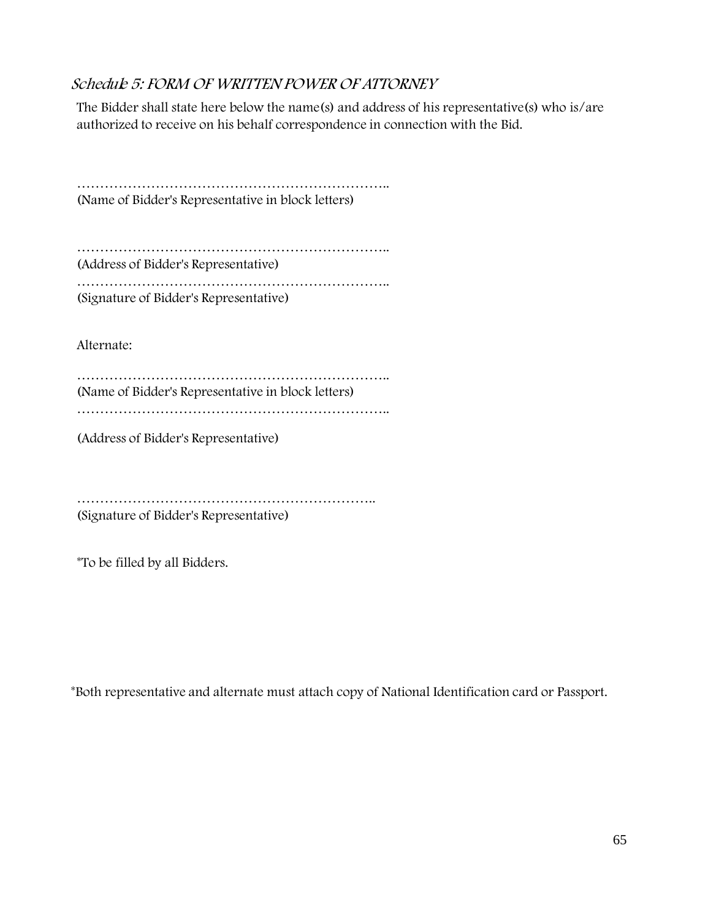#### *Schedule 5: FORM OF WRITTEN POWER OF ATTORNEY*

The Bidder shall state here below the name(s) and address of his representative(s) who is/are authorized to receive on his behalf correspondence in connection with the Bid.

………………………………………………………….. (Name of Bidder's Representative in block letters)

………………………………………………………….. (Address of Bidder's Representative)

………………………………………………………….. (Signature of Bidder's Representative)

Alternate:

………………………………………………………….. (Name of Bidder's Representative in block letters) …………………………………………………………..

(Address of Bidder's Representative)

……………………………………………………….. (Signature of Bidder's Representative)

\*To be filled by all Bidders.

\*Both representative and alternate **must** attach copy of National Identification card or Passport.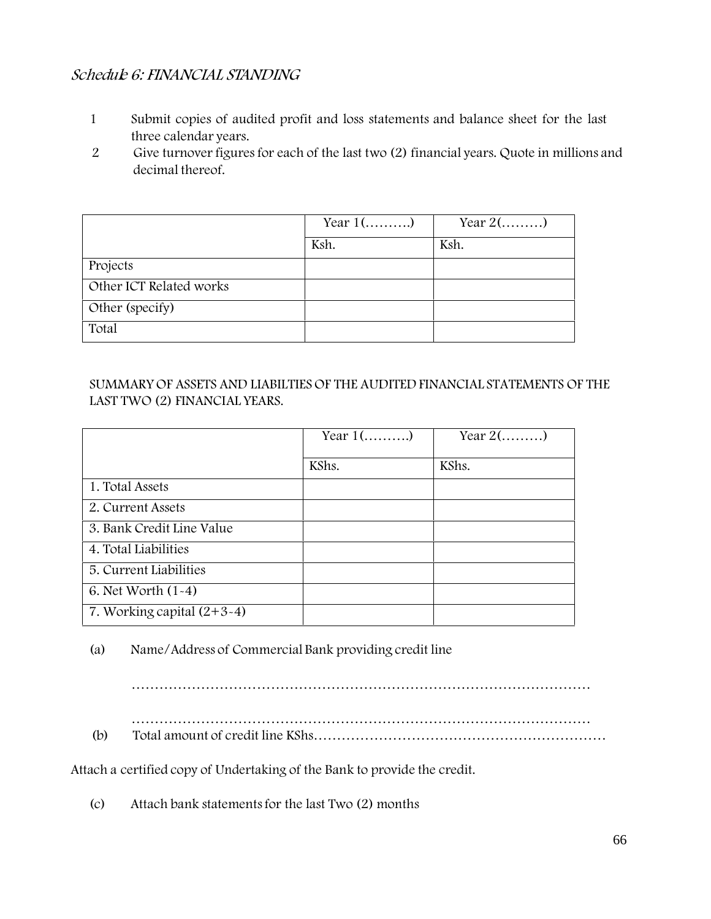### *Schedule 6: FINANCIAL STANDING*

- 1 Submit copies of audited profit and loss statements and balance sheet for the last three calendar years.
- 2 Give turnover figures for each of the last two (2) financial years. Quote in millions and decimal thereof.

|                         | Year $1$ () | Year $2(\dots \dots)$ |
|-------------------------|-------------|-----------------------|
|                         | Ksh.        | Ksh.                  |
| Projects                |             |                       |
| Other ICT Related works |             |                       |
| Other (specify)         |             |                       |
| Total                   |             |                       |

SUMMARY OF ASSETS AND LIABILTIES OF THE AUDITED FINANCIAL STATEMENTS OF THE LAST TWO (2) FINANCIAL YEARS.

|                              | Year $1$ () | Year $2(\dots \dots)$ |
|------------------------------|-------------|-----------------------|
|                              | KShs.       | KShs.                 |
| 1. Total Assets              |             |                       |
| 2. Current Assets            |             |                       |
| 3. Bank Credit Line Value    |             |                       |
| 4. Total Liabilities         |             |                       |
| 5. Current Liabilities       |             |                       |
| 6. Net Worth $(1-4)$         |             |                       |
| 7. Working capital $(2+3-4)$ |             |                       |

(a) Name/Address of Commercial Bank providing credit line

………………………………………………………………………………………

………………………………………………………………………………………

(b) Total amount of credit line KShs………………………………………………………

Attach a certified copy of Undertaking of the Bank to provide the credit.

(c) Attach bank statementsfor the last Two (2) months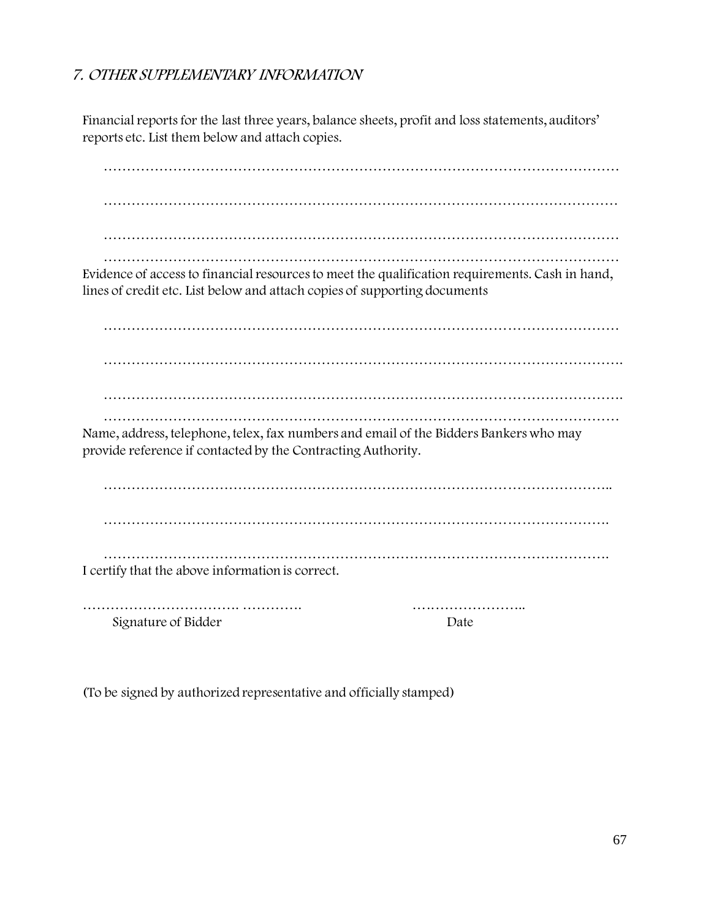### *7. OTHER SUPPLEMENTARY INFORMATION*

Financial reports for the last three years, balance sheets, profit and loss statements, auditors' reports etc. List them below and attach copies.

………………………………………………………………………………………………… ………………………………………………………………………………………………… ………………………………………………………………………………………………… ………………………………………………………………………………………………… Evidence of access to financial resources to meet the qualification requirements. Cash in hand, lines of credit etc. List below and attach copies of supporting documents ………………………………………………………………………………………………… …………………………………………………………………………………………………. …………………………………………………………………………………………………. ………………………………………………………………………………………………… Name, address, telephone, telex, fax numbers and email of the Bidders Bankers who may provide reference if contacted by the Contracting Authority. ……………………………………………………………………………………………….. ………………………………………………………………………………………………. ………………………………………………………………………………………………. I certify that the above information is correct. ……………………………. …………. …..………………..

Signature of Bidder Date

(To be signed by authorized representative and officially stamped)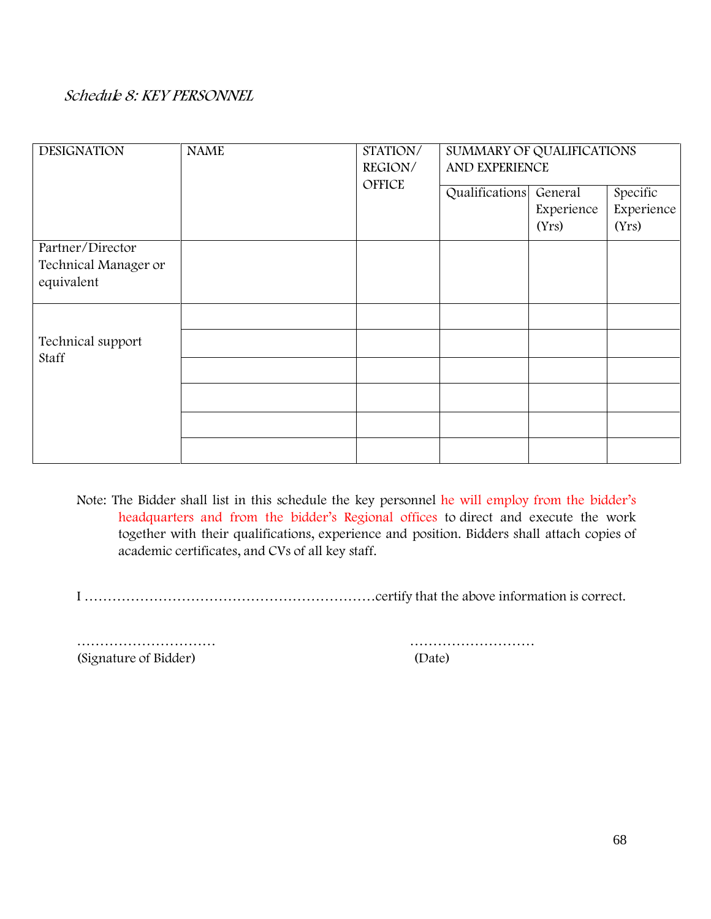### *Schedule 8: KEY PERSONNEL*

| <b>DESIGNATION</b>                                     | <b>NAME</b> | STATION/<br>REGION/ | SUMMARY OF QUALIFICATIONS<br>AND EXPERIENCE |                                |                                 |  |  |
|--------------------------------------------------------|-------------|---------------------|---------------------------------------------|--------------------------------|---------------------------------|--|--|
|                                                        |             | OFFICE              | Qualifications                              | General<br>Experience<br>(Yrs) | Specific<br>Experience<br>(Yrs) |  |  |
| Partner/Director<br>Technical Manager or<br>equivalent |             |                     |                                             |                                |                                 |  |  |
| Technical support<br>Staff                             |             |                     |                                             |                                |                                 |  |  |
|                                                        |             |                     |                                             |                                |                                 |  |  |

**Note:** The Bidder shall list in this schedule the key personnel he will employ from the bidder's headquarters and from the bidder's Regional offices to direct and execute the work together with their qualifications, experience and position. Bidders shall attach copies of academic certificates, and CVs of all key staff.

I ………………………………………………………certify that the above information is correct.

(Signature of Bidder) (Date)

………………………… ………………………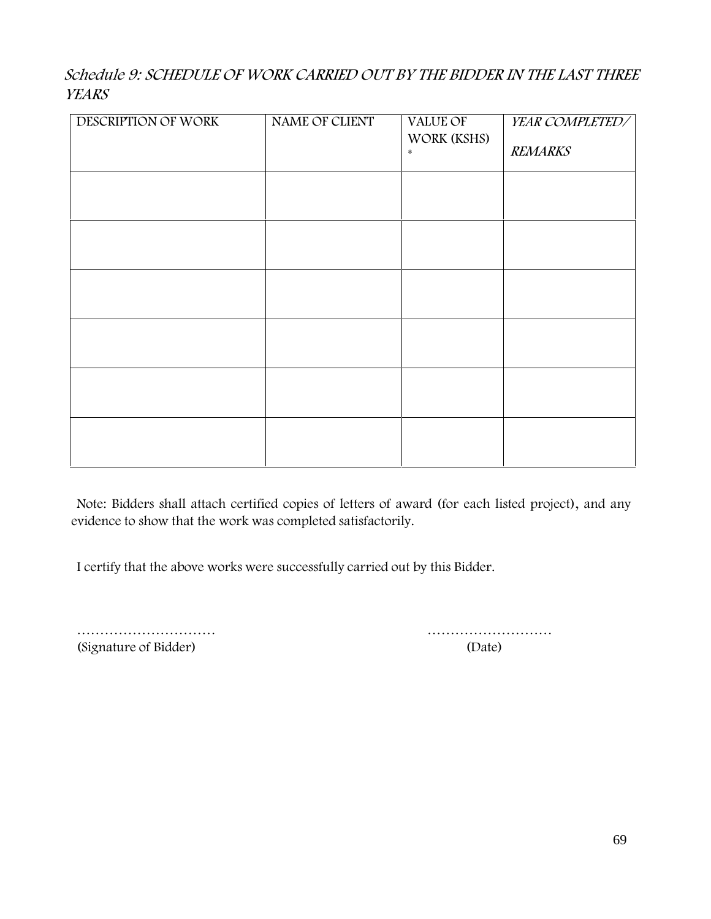## *Schedule 9: SCHEDULE OF WORK CARRIED OUT BY THE BIDDER IN THE LAST THREE YEARS*

| DESCRIPTION OF WORK | NAME OF CLIENT | VALUE OF<br>WORK (KSHS)<br>$\ast$ | YEAR COMPLETED/<br>REMARKS |
|---------------------|----------------|-----------------------------------|----------------------------|
|                     |                |                                   |                            |
|                     |                |                                   |                            |
|                     |                |                                   |                            |
|                     |                |                                   |                            |
|                     |                |                                   |                            |
|                     |                |                                   |                            |

**Note:** Bidders shall attach certified copies of letters of award (for each listed project), and any evidence to show that the work was completed satisfactorily.

I certify that the above works were successfully carried out by this Bidder.

………………………… ……………………… (Signature of Bidder) (Date)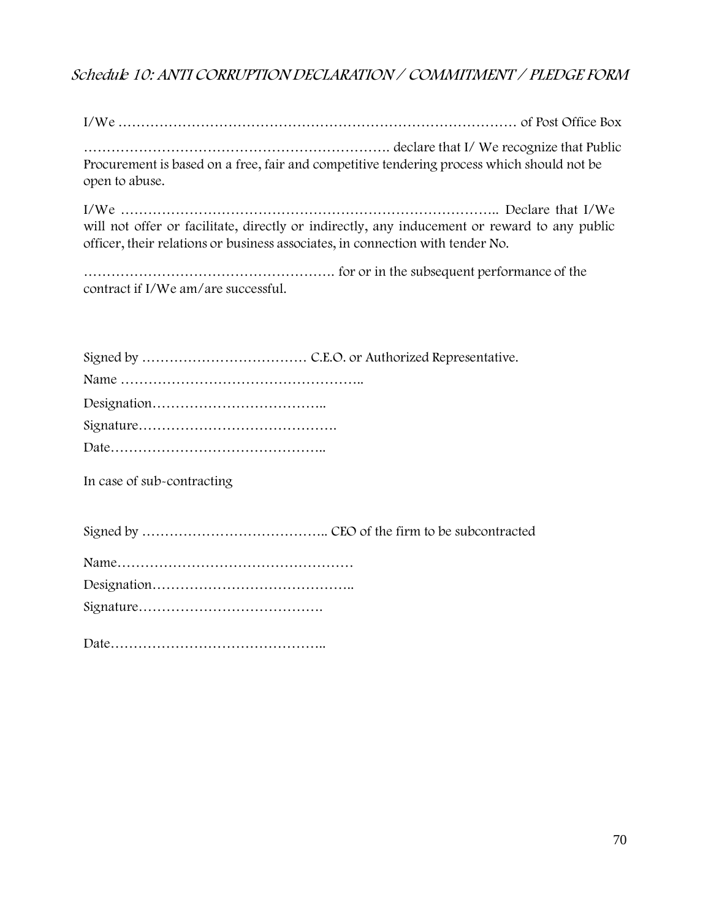## *Schedule 10: ANTI CORRUPTION DECLARATION / COMMITMENT / PLEDGE FORM*

I/We …………………………………………………………………………… of Post Office Box

…………………………………………………………. declare that I/ We recognize that Public Procurement is based on a free, fair and competitive tendering process which should not be open to abuse.

I/We ……………………………………………………………………….. Declare that I/We will not offer or facilitate, directly or indirectly, any inducement or reward to any public officer, their relations or business associates, in connection with tender No.

………………………………………………. for or in the subsequent performance of the contract if I/We am/are successful.

**In case of sub-contracting**

Signed by ………………………………….. CEO of the firm to be subcontracted

Date………………………………………..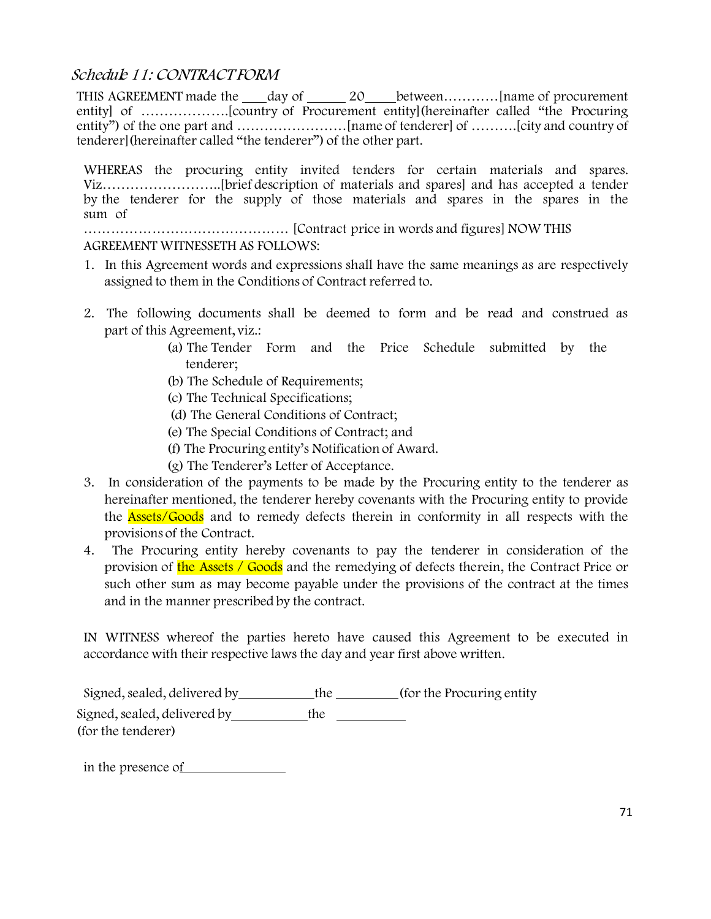#### *Schedule 11: CONTRACT FORM*

THIS AGREEMENT made the day of20 between…………[name of procurement entity] of ……………….[country of Procurement entity](hereinafter called "the Procuring entity") of the one part and ……………………[name of tenderer] of ……….[city and country of tenderer](hereinafter called "the tenderer") of the other part.

WHEREAS the procuring entity invited tenders for certain materials and spares. Viz……………………..[brief description of materials and spares] and has accepted a tender by the tenderer for the supply of those materials and spares in the spares in the sum of

……………………………………… [Contract price in words and figures] NOW THIS AGREEMENT WITNESSETH AS FOLLOWS:

- 1. In this Agreement words and expressions shall have the same meanings as are respectively assigned to them in the Conditions of Contract referred to.
- 2. The following documents shall be deemed to form and be read and construed as part of this Agreement, viz.:
	- (a) The Tender Form and the Price Schedule submitted by the tenderer;
	- (b) The Schedule of Requirements;
	- (c) The Technical Specifications;
	- (d) The General Conditions of Contract;
	- (e) The Special Conditions of Contract; and
	- (f) The Procuring entity's Notification of Award.
	- (g) The Tenderer's Letter of Acceptance.
- 3. In consideration of the payments to be made by the Procuring entity to the tenderer as hereinafter mentioned, the tenderer hereby covenants with the Procuring entity to provide the **Assets/Goods** and to remedy defects therein in conformity in all respects with the provisions of the Contract.
- 4. The Procuring entity hereby covenants to pay the tenderer in consideration of the provision of the Assets / Goods and the remedying of defects therein, the Contract Price or such other sum as may become payable under the provisions of the contract at the times and in the manner prescribed by the contract.

IN WITNESS whereof the parties hereto have caused this Agreement to be executed in accordance with their respective laws the day and year first above written.

Signed, sealed, delivered by the (for the Procuring entity Signed, sealed, delivered by the (for the tenderer)

in the presence of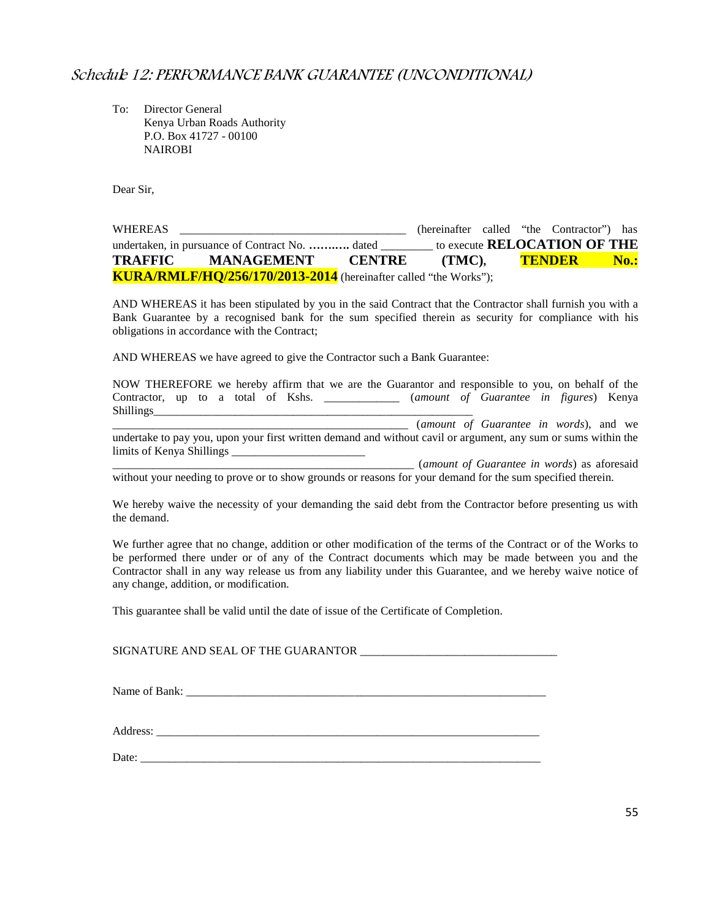#### *Schedule 12: PERFORMANCE BANK GUARANTEE (UNCONDITIONAL)*

To: Director General Kenya Urban Roads Authority P.O. Box 41727 - 00100 NAIROBI

Dear Sir,

| WHEREAS |                                                                         |               | (hereinafter called "the Contractor") has |  |                                     |      |
|---------|-------------------------------------------------------------------------|---------------|-------------------------------------------|--|-------------------------------------|------|
|         | undertaken, in pursuance of Contract No.  dated                         |               |                                           |  | to execute <b>RELOCATION OF THE</b> |      |
| TRAFFIC | <b>MANAGEMENT</b>                                                       | <b>CENTRE</b> | (TMC).                                    |  | TENDER                              | No.: |
|         | <b>KURA/RMLF/HQ/256/170/2013-2014</b> (hereinafter called "the Works"); |               |                                           |  |                                     |      |

AND WHEREAS it has been stipulated by you in the said Contract that the Contractor shall furnish you with a Bank Guarantee by a recognised bank for the sum specified therein as security for compliance with his obligations in accordance with the Contract;

AND WHEREAS we have agreed to give the Contractor such a Bank Guarantee:

|                           |  |  |  |  | NOW THEREFORE we hereby affirm that we are the Guarantor and responsible to you, on behalf of the              |  |
|---------------------------|--|--|--|--|----------------------------------------------------------------------------------------------------------------|--|
|                           |  |  |  |  | Contractor, up to a total of Kshs. ____________ (amount of Guarantee in figures) Kenya                         |  |
| Shillings_                |  |  |  |  |                                                                                                                |  |
|                           |  |  |  |  | (amount of Guarantee in words), and we                                                                         |  |
|                           |  |  |  |  | undertake to pay you, upon your first written demand and without cavil or argument, any sum or sums within the |  |
| limits of Kenya Shillings |  |  |  |  |                                                                                                                |  |
|                           |  |  |  |  | (amount of Guarantee in words) as aforesaid                                                                    |  |
|                           |  |  |  |  | without your needing to prove or to show grounds or reasons for your demand for the sum specified therein.     |  |

We hereby waive the necessity of your demanding the said debt from the Contractor before presenting us with the demand.

We further agree that no change, addition or other modification of the terms of the Contract or of the Works to be performed there under or of any of the Contract documents which may be made between you and the Contractor shall in any way release us from any liability under this Guarantee, and we hereby waive notice of any change, addition, or modification.

This guarantee shall be valid until the date of issue of the Certificate of Completion.

SIGNATURE AND SEAL OF THE GUARANTOR \_\_\_\_\_\_\_\_\_\_\_\_\_\_\_\_\_\_\_\_\_\_\_\_\_\_\_\_\_\_\_\_\_\_

Name of Bank: \_\_\_\_\_\_\_\_\_\_\_\_\_\_\_\_\_\_\_\_\_\_\_\_\_\_\_\_\_\_\_\_\_\_\_\_\_\_\_\_\_\_\_\_\_\_\_\_\_\_\_\_\_\_\_\_\_\_\_\_\_\_

Address:

Date: